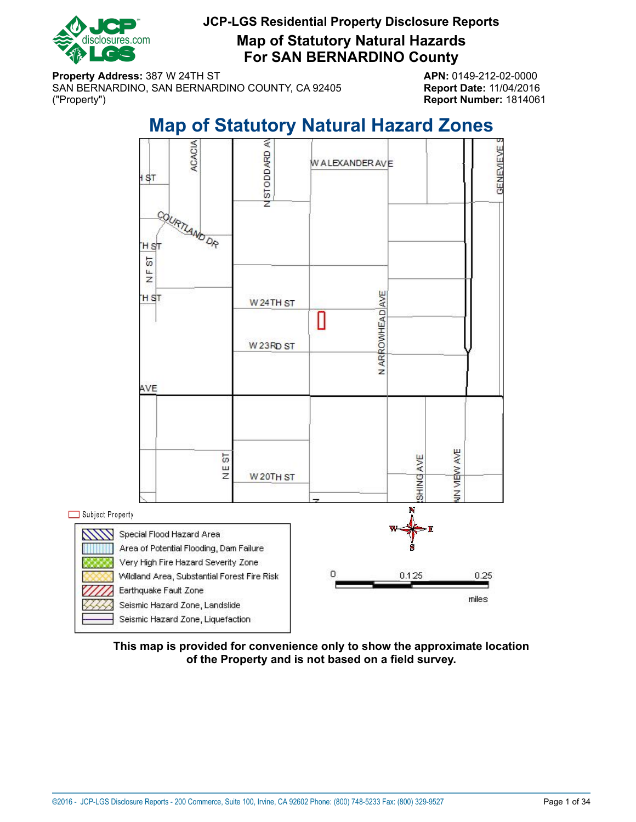

**Map of Statutory Natural Hazards For SAN BERNARDINO County**

**Property Address:** 387 W 24TH ST **APN:** 0149-212-02-0000 SAN BERNARDINO, SAN BERNARDINO COUNTY, CA 92405 **Report Date:** 11/04/2016 ("Property") **Report Number:** 1814061

# **Map of Statutory Natural Hazard Zones**

<span id="page-0-0"></span>

**This map is provided for convenience only to show the approximate location of the Property and is not based on a field survey.**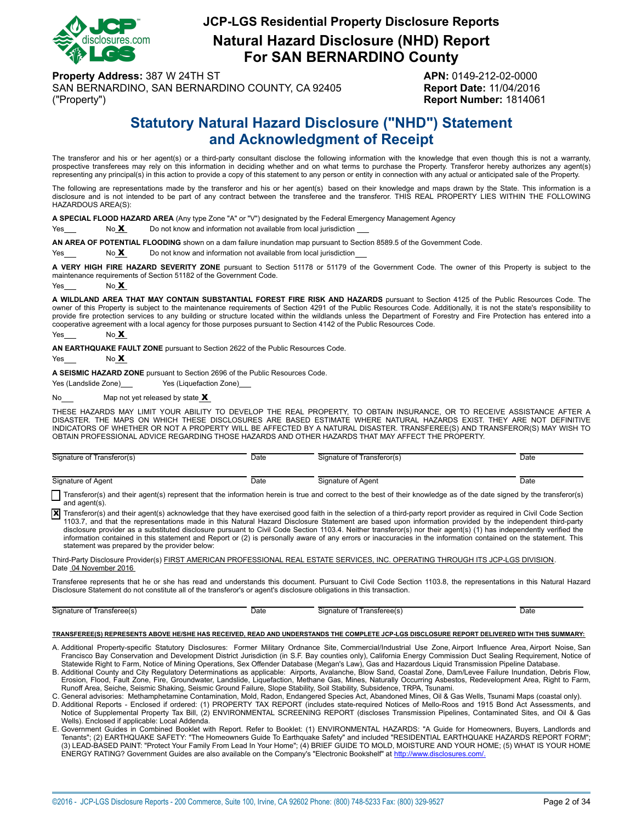

## **JCP-LGS Residential Property Disclosure Reports Natural Hazard Disclosure (NHD) Report For SAN BERNARDINO County**

**Property Address:** 387 W 24TH ST **APN:** 0149-212-02-0000 SAN BERNARDINO, SAN BERNARDINO COUNTY, CA 92405 **Report Date:** 11/04/2016 ("Property") **Report Number:** 1814061

# **Statutory Natural Hazard Disclosure ("NHD") Statement and Acknowledgment of Receipt**

<span id="page-1-0"></span>The transferor and his or her agent(s) or a third-party consultant disclose the following information with the knowledge that even though this is not a warranty, prospective transferees may rely on this information in deciding whether and on what terms to purchase the Property. Transferor hereby authorizes any agent(s) representing any principal(s) in this action to provide a copy of this statement to any person or entity in connection with any actual or anticipated sale of the Property.

The following are representations made by the transferor and his or her agent(s) based on their knowledge and maps drawn by the State. This information is a disclosure and is not intended to be part of any contract between the transferee and the transferor. THIS REAL PROPERTY LIES WITHIN THE FOLLOWING HAZARDOUS AREA(S):

**A SPECIAL FLOOD HAZARD AREA** (Any type Zone "A" or "V") designated by the Federal Emergency Management Agency

Yes No X Do not know and information not available from local jurisdiction

**AN AREA OF POTENTIAL FLOODING** shown on a dam failure inundation map pursuant to Section 8589.5 of the Government Code.

 $Yes  $\sim$  No X  $\sim$  Do not know and information not available from local jurisdiction$ 

**A VERY HIGH FIRE HAZARD SEVERITY ZONE** pursuant to Section 51178 or 51179 of the Government Code. The owner of this Property is subject to the maintenance requirements of Section 51182 of the Government Code.

Yes  $N<sub>0</sub> X$ 

**A WILDLAND AREA THAT MAY CONTAIN SUBSTANTIAL FOREST FIRE RISK AND HAZARDS** pursuant to Section 4125 of the Public Resources Code. The owner of this Property is subject to the maintenance requirements of Section 4291 of the Public Resources Code. Additionally, it is not the state's responsibility to provide fire protection services to any building or structure located within the wildlands unless the Department of Forestry and Fire Protection has entered into a cooperative agreement with a local agency for those purposes pursuant to Section 4142 of the Public Resources Code.

Yes No **X** 

**AN EARTHQUAKE FAULT ZONE** pursuant to Section 2622 of the Public Resources Code.

 $Yes$  No  $X$ 

**A SEISMIC HAZARD ZONE** pursuant to Section 2696 of the Public Resources Code.

Yes (Landslide Zone) Yes (Liquefaction Zone)

No $\frac{\mathbf{M}}{2}$  Map not yet released by state  $\mathbf{X}$ 

THESE HAZARDS MAY LIMIT YOUR ABILITY TO DEVELOP THE REAL PROPERTY, TO OBTAIN INSURANCE, OR TO RECEIVE ASSISTANCE AFTER A<br>DISASTER. THE MAPS ON WHICH THESE DISCLOSURES ARE BASED ESTIMATE WHERE NATURAL HAZARDS EXIST. THEY AR INDICATORS OF WHETHER OR NOT A PROPERTY WILL BE AFFECTED BY A NATURAL DISASTER. TRANSFEREE(S) AND TRANSFEROR(S) MAY WISH TO OBTAIN PROFESSIONAL ADVICE REGARDING THOSE HAZARDS AND OTHER HAZARDS THAT MAY AFFECT THE PROPERTY.

| (ransferor(s)<br>Signature of | Date | Signature of Transferor(s)                     | Date |
|-------------------------------|------|------------------------------------------------|------|
|                               |      |                                                |      |
| Signature of Agent            | Date | Signature of Agent<br>$\overline{\phantom{0}}$ | Date |

Transferor(s) and their agent(s) represent that the information herein is true and correct to the best of their knowledge as of the date signed by the transferor(s) and agent(s).

Transferor(s) and their agent(s) acknowledge that they have exercised good faith in the selection of a third-party report provider as required in Civil Code Section<br>1103.7, and that the representations made in this Natural disclosure provider as a substituted disclosure pursuant to Civil Code Section 1103.4. Neither transferor(s) nor their agent(s) (1) has independently verified the information contained in this statement and Report or (2) is personally aware of any errors or inaccuracies in the information contained on the statement. This statement was prepared by the provider below:

Third-Party Disclosure Provider(s) FIRST AMERICAN PROFESSIONAL REAL ESTATE SERVICES, INC. OPERATING THROUGH ITS JCP-LGS DIVISION. Date 04 November 2016

Transferee represents that he or she has read and understands this document. Pursuant to Civil Code Section 1103.8, the representations in this Natural Hazard Disclosure Statement do not constitute all of the transferor's or agent's disclosure obligations in this transaction.

Signature of Transferee(s) Date **Date Signature of Transferee(s)** Date Date Date

#### **TRANSFEREE(S) REPRESENTS ABOVE HE/SHE HAS RECEIVED, READ AND UNDERSTANDS THE COMPLETE JCP-LGS DISCLOSURE REPORT DELIVERED WITH THIS SUMMARY:**

- A. Additional Property-specific Statutory Disclosures: Former Military Ordnance Site, Commercial/Industrial Use Zone, Airport Influence Area, Airport Noise, San Francisco Bay Conservation and Development District Jurisdiction (in S.F. Bay counties only), California Energy Commission Duct Sealing Requirement, Notice of<br>Statewide Right to Farm, Notice of Mining Operations, Sex Offen
- B. Additional County and City Regulatory Determinations as applicable: Airports, Avalanche, Blow Sand, Coastal Zone, Dam/Levee Failure Inundation, Debris Flow, Erosion, Flood, Fault Zone, Fire, Groundwater, Landslide, Liquefaction, Methane Gas, Mines, Naturally Occurring Asbestos, Redevelopment Area, Right to Farm,
- Runoff Area, Seiche, Seismic Shaking, Seismic Ground Failure, Slope Stability, Soil Stability, Subsidence, TRPA, Tsunami.<br>C. General advisories: Methamphetamine Contamination, Mold, Radon, Endangered Species Act, Abandoned
- D. Additional Reports Enclosed if ordered: (1) PROPERTY TAX REPORT (includes state-required Notices of Mello-Roos and 1915 Bond Act Assessments, and<br>Notice of Supplemental Property Tax Bill, (2) ENVIRONMENTAL SCREENING R Wells). Enclosed if applicable: Local Addenda.
- E. Government Guides in Combined Booklet with Report. Refer to Booklet: (1) ENVIRONMENTAL HAZARDS: "A Guide for Homeowners, Buyers, Landlords and Tenants"; (2) EARTHQUAKE SAFETY: "The Homeowners Guide To Earthquake Safety" and included "RESIDENTIAL EARTHQUAKE HAZARDS REPORT FORM"; (3) LEAD-BASED PAINT: "Protect Your Family From Lead In Your Home"; (4) BRIEF GUIDE TO MOLD, MOISTURE AND YOUR HOME; (5) WHAT IS YOUR HOME ENERGY RATING? Government Guides are also available on the Company's "Electronic Bookshelf" at http://www.disclosures.com/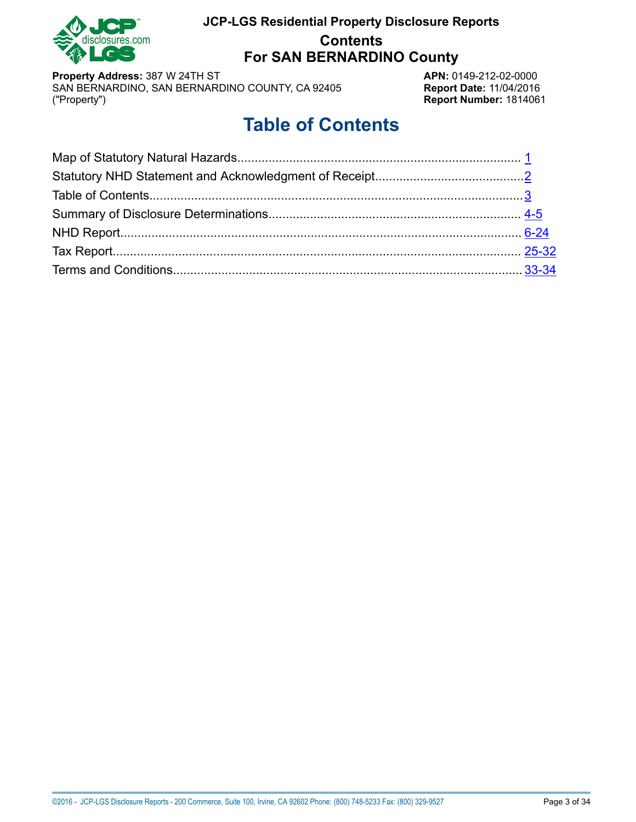

# **JCP-LGS Residential Property Disclosure Reports Contents For SAN BERNARDINO County**

**Property Address:** 387 W 24TH ST **APN:** 0149-212-02-0000<br>
SAN BERNARDINO, SAN BERNARDINO COUNTY, CA 92405 **Report Date:** 11/04/2016 SAN BERNARDINO, SAN BERNARDINO COUNTY, CA 92405 ("Property")

**Report Number: 1814061** 

# **Table of Contents**

<span id="page-2-0"></span>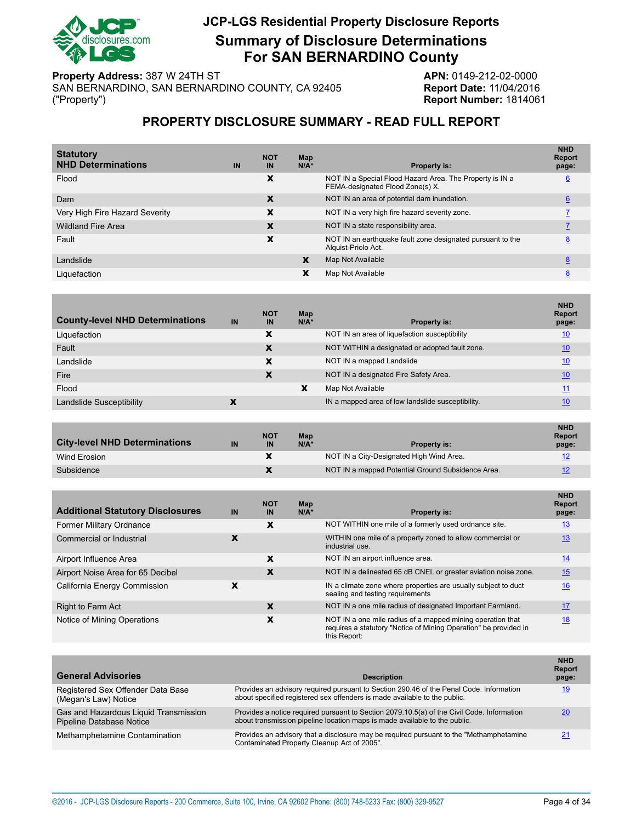

# **JCP-LGS Residential Property Disclosure Reports Summary of Disclosure Determinations For SAN BERNARDINO County**

**Property Address:** 387 W 24TH ST **APN:** 0149-212-02-0000<br>SAN BERNARDINO, SAN BERNARDINO COUNTY, CA 92405 **Report Date:** 11/04/2016 SAN BERNARDINO, SAN BERNARDINO COUNTY, CA 92405 ("Property")

**Report Number: 1814061** 

### **PROPERTY DISCLOSURE SUMMARY - READ FULL REPORT**

<span id="page-3-0"></span>

| <b>Statutory</b><br><b>NHD Determinations</b> | IN | <b>NOT</b><br>IN | Map<br>$N/A^*$ | <b>Property is:</b>                                                                          | <b>NHD</b><br><b>Report</b><br>page: |
|-----------------------------------------------|----|------------------|----------------|----------------------------------------------------------------------------------------------|--------------------------------------|
| Flood                                         |    | X                |                | NOT IN a Special Flood Hazard Area. The Property is IN a<br>FEMA-designated Flood Zone(s) X. | $6\overline{6}$                      |
| Dam                                           |    | X                |                | NOT IN an area of potential dam inundation.                                                  | 6                                    |
| Very High Fire Hazard Severity                |    | x                |                | NOT IN a very high fire hazard severity zone.                                                |                                      |
| <b>Wildland Fire Area</b>                     |    | X                |                | NOT IN a state responsibility area.                                                          |                                      |
| Fault                                         |    | X                |                | NOT IN an earthquake fault zone designated pursuant to the<br>Alguist-Priolo Act.            | 8                                    |
| Landslide                                     |    |                  | X              | Map Not Available                                                                            | 8                                    |
| Liquefaction                                  |    |                  | x              | Map Not Available                                                                            | 8                                    |
|                                               |    |                  |                |                                                                                              |                                      |

| <b>County-level NHD Determinations</b> | IN | <b>NOT</b><br><b>IN</b> | Map<br>$N/A^*$ | <b>Property is:</b>                               | <b>NHD</b><br><b>Report</b><br>page: |
|----------------------------------------|----|-------------------------|----------------|---------------------------------------------------|--------------------------------------|
| Liquefaction                           |    | X                       |                | NOT IN an area of liquefaction susceptibility     | <u>10</u>                            |
| Fault                                  |    | X                       |                | NOT WITHIN a designated or adopted fault zone.    | 10                                   |
| Landslide                              |    | X                       |                | NOT IN a mapped Landslide                         | 10                                   |
| Fire                                   |    | X                       |                | NOT IN a designated Fire Safety Area.             | <u>10</u>                            |
| Flood                                  |    |                         | X              | Map Not Available                                 | 11                                   |
| Landslide Susceptibility               |    |                         |                | IN a mapped area of low landslide susceptibility. | 10                                   |

| <b>City-level NHD Determinations</b> | IN | <b>NOT</b><br>IN | Map<br>$N/A^*$ | <b>Property is:</b>                               | <b>NHD</b><br><b>Report</b><br>page: |
|--------------------------------------|----|------------------|----------------|---------------------------------------------------|--------------------------------------|
| Wind Erosion                         |    |                  |                | NOT IN a City-Designated High Wind Area.          | <u> 12</u>                           |
| Subsidence                           |    |                  |                | NOT IN a mapped Potential Ground Subsidence Area. | 12                                   |

| <b>Additional Statutory Disclosures</b> | IN | <b>NOT</b><br>IN | Map<br>$N/A*$ | <b>Property is:</b>                                                                                                                            | <b>NHD</b><br><b>Report</b><br>page: |
|-----------------------------------------|----|------------------|---------------|------------------------------------------------------------------------------------------------------------------------------------------------|--------------------------------------|
| Former Military Ordnance                |    | x                |               | NOT WITHIN one mile of a formerly used ordnance site.                                                                                          | <u> 13</u>                           |
| Commercial or Industrial                |    |                  |               | WITHIN one mile of a property zoned to allow commercial or<br>industrial use.                                                                  | 13                                   |
| Airport Influence Area                  |    | X                |               | NOT IN an airport influence area.                                                                                                              | 14                                   |
| Airport Noise Area for 65 Decibel       |    | X                |               | NOT IN a delineated 65 dB CNEL or greater aviation noise zone.                                                                                 | 15                                   |
| California Energy Commission            |    |                  |               | IN a climate zone where properties are usually subject to duct<br>sealing and testing requirements                                             | 16                                   |
| Right to Farm Act                       |    | X                |               | NOT IN a one mile radius of designated Important Farmland.                                                                                     | 17                                   |
| Notice of Mining Operations             |    | X                |               | NOT IN a one mile radius of a mapped mining operation that<br>requires a statutory "Notice of Mining Operation" be provided in<br>this Report: | 18                                   |

| <b>General Advisories</b>                                                | <b>Description</b>                                                                                                                                                       | <b>NHD</b><br><b>Report</b><br>page: |
|--------------------------------------------------------------------------|--------------------------------------------------------------------------------------------------------------------------------------------------------------------------|--------------------------------------|
| Registered Sex Offender Data Base<br>(Megan's Law) Notice                | Provides an advisory required pursuant to Section 290.46 of the Penal Code. Information<br>about specified registered sex offenders is made available to the public.     | 19                                   |
| Gas and Hazardous Liquid Transmission<br><b>Pipeline Database Notice</b> | Provides a notice required pursuant to Section 2079.10.5(a) of the Civil Code. Information<br>about transmission pipeline location maps is made available to the public. | 20                                   |
| Methamphetamine Contamination                                            | Provides an advisory that a disclosure may be required pursuant to the "Methamphetamine"<br>Contaminated Property Cleanup Act of 2005".                                  | 21                                   |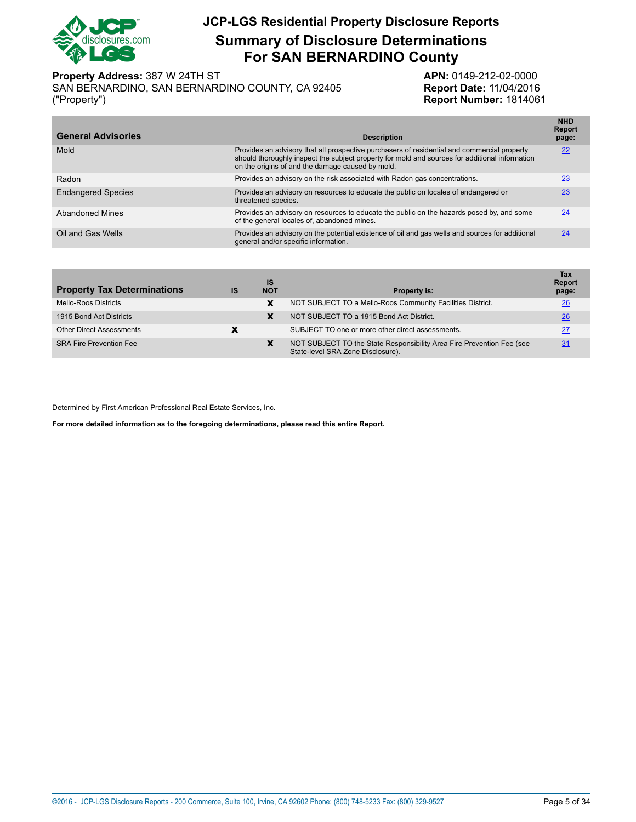

**Summary of Disclosure Determinations For SAN BERNARDINO County**

**Property Address:** 387 W 24TH ST **APN:** 0149-212-02-0000

SAN BERNARDINO, SAN BERNARDINO COUNTY, CA 92405 **Report Date:** 11/04/2016 ("Property") **Report Number:** 1814061

| <b>General Advisories</b> | <b>Description</b>                                                                                                                                                                                                                                | <b>NHD</b><br><b>Report</b><br>page: |
|---------------------------|---------------------------------------------------------------------------------------------------------------------------------------------------------------------------------------------------------------------------------------------------|--------------------------------------|
| Mold                      | Provides an advisory that all prospective purchasers of residential and commercial property<br>should thoroughly inspect the subject property for mold and sources for additional information<br>on the origins of and the damage caused by mold. | 22                                   |
| Radon                     | Provides an advisory on the risk associated with Radon gas concentrations.                                                                                                                                                                        | 23                                   |
| <b>Endangered Species</b> | Provides an advisory on resources to educate the public on locales of endangered or<br>threatened species.                                                                                                                                        | 23                                   |
| <b>Abandoned Mines</b>    | Provides an advisory on resources to educate the public on the hazards posed by, and some<br>of the general locales of, abandoned mines.                                                                                                          | 24                                   |
| Oil and Gas Wells         | Provides an advisory on the potential existence of oil and gas wells and sources for additional<br>general and/or specific information.                                                                                                           | 24                                   |

| <b>Property Tax Determinations</b> | <b>IS</b> | IS<br><b>NOT</b> | <b>Property is:</b>                                                                                        | <b>Tax</b><br><b>Report</b><br>page: |
|------------------------------------|-----------|------------------|------------------------------------------------------------------------------------------------------------|--------------------------------------|
| <b>Mello-Roos Districts</b>        |           | x                | NOT SUBJECT TO a Mello-Roos Community Facilities District.                                                 | 26                                   |
| 1915 Bond Act Districts            |           | x                | NOT SUBJECT TO a 1915 Bond Act District.                                                                   | 26                                   |
| <b>Other Direct Assessments</b>    | x         |                  | SUBJECT TO one or more other direct assessments.                                                           | 27                                   |
| <b>SRA Fire Prevention Fee</b>     |           | х                | NOT SUBJECT TO the State Responsibility Area Fire Prevention Fee (see<br>State-level SRA Zone Disclosure). | 31                                   |

Determined by First American Professional Real Estate Services, Inc.

**For more detailed information as to the foregoing determinations, please read this entire Report.**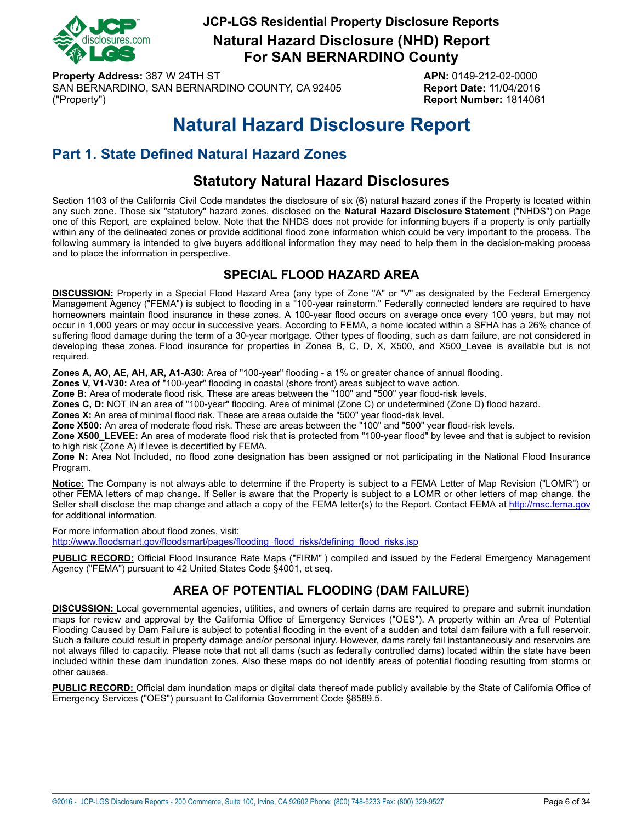

**Natural Hazard Disclosure (NHD) Report For SAN BERNARDINO County**

**Property Address:** 387 W 24TH ST **APN:** 0149-212-02-0000 SAN BERNARDINO, SAN BERNARDINO COUNTY, CA 92405 **Report Date:** 11/04/2016 ("Property") **Report Number:** 1814061

# **Natural Hazard Disclosure Report**

# <span id="page-5-0"></span>**Part 1. State Defined Natural Hazard Zones**

# **Statutory Natural Hazard Disclosures**

Section 1103 of the California Civil Code mandates the disclosure of six (6) natural hazard zones if the Property is located within any such zone. Those six "statutory" hazard zones, disclosed on the **Natural Hazard Disclosure Statement** ("NHDS") on Page one of this Report, are explained below. Note that the NHDS does not provide for informing buyers if a property is only partially within any of the delineated zones or provide additional flood zone information which could be very important to the process. The following summary is intended to give buyers additional information they may need to help them in the decision-making process and to place the information in perspective.

## **SPECIAL FLOOD HAZARD AREA**

<span id="page-5-1"></span>**DISCUSSION:** Property in a Special Flood Hazard Area (any type of Zone "A" or "V" as designated by the Federal Emergency Management Agency ("FEMA") is subject to flooding in a "100-year rainstorm." Federally connected lenders are required to have homeowners maintain flood insurance in these zones. A 100-year flood occurs on average once every 100 years, but may not occur in 1,000 years or may occur in successive years. According to FEMA, a home located within a SFHA has a 26% chance of suffering flood damage during the term of a 30-year mortgage. Other types of flooding, such as dam failure, are not considered in developing these zones. Flood insurance for properties in Zones B, C, D, X, X500, and X500\_Levee is available but is not required.

**Zones A, AO, AE, AH, AR, A1-A30:** Area of "100-year" flooding - a 1% or greater chance of annual flooding.

**Zones V, V1-V30:** Area of "100-year" flooding in coastal (shore front) areas subject to wave action.

**Zone B:** Area of moderate flood risk. These are areas between the "100" and "500" year flood-risk levels.

**Zones C, D:** NOT IN an area of "100-year" flooding. Area of minimal (Zone C) or undetermined (Zone D) flood hazard.

**Zones X:** An area of minimal flood risk. These are areas outside the "500" year flood-risk level.

**Zone X500:** An area of moderate flood risk. These are areas between the "100" and "500" year flood-risk levels.

**Zone X500\_LEVEE:** An area of moderate flood risk that is protected from "100-year flood" by levee and that is subject to revision to high risk (Zone A) if levee is decertified by FEMA.

**Zone N:** Area Not Included, no flood zone designation has been assigned or not participating in the National Flood Insurance Program.

**Notice:** The Company is not always able to determine if the Property is subject to a FEMA Letter of Map Revision ("LOMR") or other FEMA letters of map change. If Seller is aware that the Property is subject to a LOMR or other letters of map change, the Seller shall disclose the map change and attach a copy of the FEMA letter(s) to the Report. Contact FEMA at<http://msc.fema.gov> for additional information.

For more information about flood zones, visit:

[http://www.floodsmart.gov/floodsmart/pages/flooding\\_flood\\_risks/defining\\_flood\\_risks.jsp](http://www.floodsmart.gov/floodsmart/pages/flooding_flood_risks/defining_flood_risks.jsp)

**PUBLIC RECORD:** Official Flood Insurance Rate Maps ("FIRM" ) compiled and issued by the Federal Emergency Management Agency ("FEMA") pursuant to 42 United States Code §4001, et seq.

## **AREA OF POTENTIAL FLOODING (DAM FAILURE)**

<span id="page-5-2"></span>**DISCUSSION:** Local governmental agencies, utilities, and owners of certain dams are required to prepare and submit inundation maps for review and approval by the California Office of Emergency Services ("OES"). A property within an Area of Potential Flooding Caused by Dam Failure is subject to potential flooding in the event of a sudden and total dam failure with a full reservoir. Such a failure could result in property damage and/or personal injury. However, dams rarely fail instantaneously and reservoirs are not always filled to capacity. Please note that not all dams (such as federally controlled dams) located within the state have been included within these dam inundation zones. Also these maps do not identify areas of potential flooding resulting from storms or other causes.

**PUBLIC RECORD:** Official dam inundation maps or digital data thereof made publicly available by the State of California Office of Emergency Services ("OES") pursuant to California Government Code §8589.5.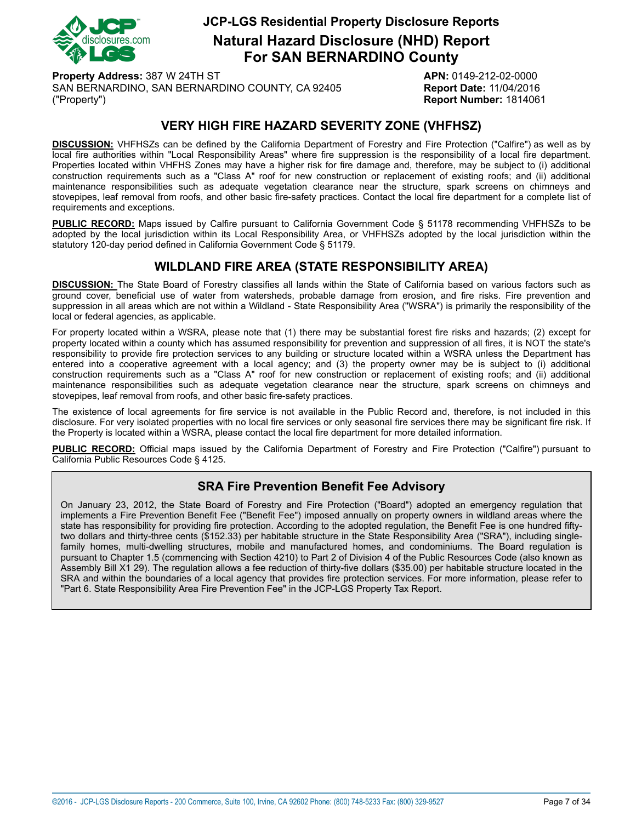

**Natural Hazard Disclosure (NHD) Report For SAN BERNARDINO County**

**Property Address:** 387 W 24TH ST **APN:** 0149-212-02-0000 SAN BERNARDINO, SAN BERNARDINO COUNTY, CA 92405 **Report Date:** 11/04/2016 ("Property") **Report Number:** 1814061

## **VERY HIGH FIRE HAZARD SEVERITY ZONE (VHFHSZ)**

<span id="page-6-0"></span>**DISCUSSION:** VHFHSZs can be defined by the California Department of Forestry and Fire Protection ("Calfire") as well as by local fire authorities within "Local Responsibility Areas" where fire suppression is the responsibility of a local fire department. Properties located within VHFHS Zones may have a higher risk for fire damage and, therefore, may be subject to (i) additional construction requirements such as a "Class A" roof for new construction or replacement of existing roofs; and (ii) additional maintenance responsibilities such as adequate vegetation clearance near the structure, spark screens on chimneys and stovepipes, leaf removal from roofs, and other basic fire-safety practices. Contact the local fire department for a complete list of requirements and exceptions.

**PUBLIC RECORD:** Maps issued by Calfire pursuant to California Government Code § 51178 recommending VHFHSZs to be adopted by the local jurisdiction within its Local Responsibility Area, or VHFHSZs adopted by the local jurisdiction within the statutory 120-day period defined in California Government Code § 51179.

### **WILDLAND FIRE AREA (STATE RESPONSIBILITY AREA)**

<span id="page-6-1"></span>**DISCUSSION:** The State Board of Forestry classifies all lands within the State of California based on various factors such as ground cover, beneficial use of water from watersheds, probable damage from erosion, and fire risks. Fire prevention and suppression in all areas which are not within a Wildland - State Responsibility Area ("WSRA") is primarily the responsibility of the local or federal agencies, as applicable.

For property located within a WSRA, please note that (1) there may be substantial forest fire risks and hazards; (2) except for property located within a county which has assumed responsibility for prevention and suppression of all fires, it is NOT the state's responsibility to provide fire protection services to any building or structure located within a WSRA unless the Department has entered into a cooperative agreement with a local agency; and (3) the property owner may be is subject to (i) additional construction requirements such as a "Class A" roof for new construction or replacement of existing roofs; and (ii) additional maintenance responsibilities such as adequate vegetation clearance near the structure, spark screens on chimneys and stovepipes, leaf removal from roofs, and other basic fire-safety practices.

The existence of local agreements for fire service is not available in the Public Record and, therefore, is not included in this disclosure. For very isolated properties with no local fire services or only seasonal fire services there may be significant fire risk. If the Property is located within a WSRA, please contact the local fire department for more detailed information.

**PUBLIC RECORD:** Official maps issued by the California Department of Forestry and Fire Protection ("Calfire") pursuant to California Public Resources Code § 4125.

### **SRA Fire Prevention Benefit Fee Advisory**

On January 23, 2012, the State Board of Forestry and Fire Protection ("Board") adopted an emergency regulation that implements a Fire Prevention Benefit Fee ("Benefit Fee") imposed annually on property owners in wildland areas where the state has responsibility for providing fire protection. According to the adopted regulation, the Benefit Fee is one hundred fiftytwo dollars and thirty-three cents (\$152.33) per habitable structure in the State Responsibility Area ("SRA"), including singlefamily homes, multi-dwelling structures, mobile and manufactured homes, and condominiums. The Board regulation is pursuant to Chapter 1.5 (commencing with Section 4210) to Part 2 of Division 4 of the Public Resources Code (also known as Assembly Bill X1 29). The regulation allows a fee reduction of thirty-five dollars (\$35.00) per habitable structure located in the SRA and within the boundaries of a local agency that provides fire protection services. For more information, please refer to "Part 6. State Responsibility Area Fire Prevention Fee" in the JCP-LGS Property Tax Report.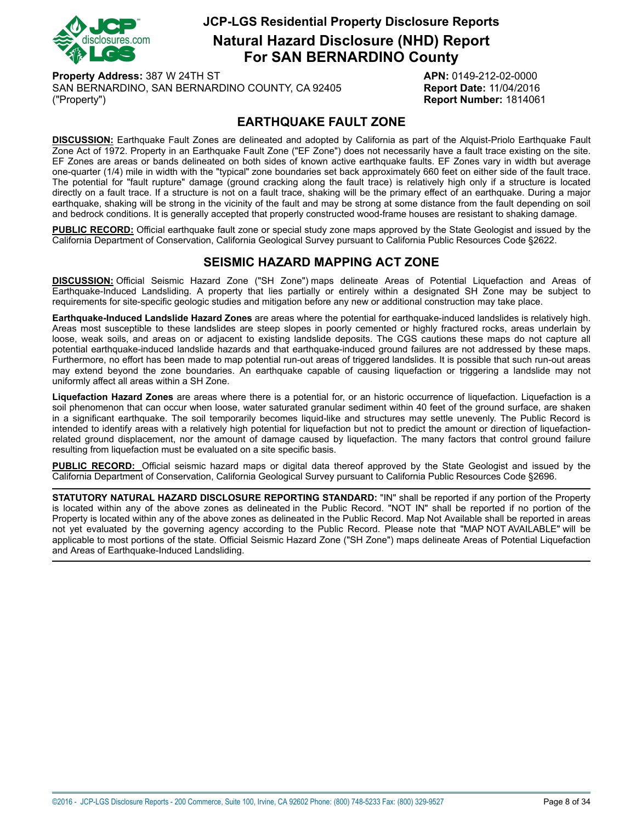

**Natural Hazard Disclosure (NHD) Report For SAN BERNARDINO County**

**Property Address:** 387 W 24TH ST **APN:** 0149-212-02-0000 SAN BERNARDINO, SAN BERNARDINO COUNTY, CA 92405 **Report Date:** 11/04/2016 ("Property") **Report Number:** 1814061

## **EARTHQUAKE FAULT ZONE**

<span id="page-7-0"></span>**DISCUSSION:** Earthquake Fault Zones are delineated and adopted by California as part of the Alquist-Priolo Earthquake Fault Zone Act of 1972. Property in an Earthquake Fault Zone ("EF Zone") does not necessarily have a fault trace existing on the site. EF Zones are areas or bands delineated on both sides of known active earthquake faults. EF Zones vary in width but average one-quarter (1/4) mile in width with the "typical" zone boundaries set back approximately 660 feet on either side of the fault trace. The potential for "fault rupture" damage (ground cracking along the fault trace) is relatively high only if a structure is located directly on a fault trace. If a structure is not on a fault trace, shaking will be the primary effect of an earthquake. During a major earthquake, shaking will be strong in the vicinity of the fault and may be strong at some distance from the fault depending on soil and bedrock conditions. It is generally accepted that properly constructed wood-frame houses are resistant to shaking damage.

**PUBLIC RECORD:** Official earthquake fault zone or special study zone maps approved by the State Geologist and issued by the California Department of Conservation, California Geological Survey pursuant to California Public Resources Code §2622.

## **SEISMIC HAZARD MAPPING ACT ZONE**

<span id="page-7-1"></span>**DISCUSSION:** Official Seismic Hazard Zone ("SH Zone") maps delineate Areas of Potential Liquefaction and Areas of Earthquake-Induced Landsliding. A property that lies partially or entirely within a designated SH Zone may be subject to requirements for site-specific geologic studies and mitigation before any new or additional construction may take place.

**Earthquake-Induced Landslide Hazard Zones** are areas where the potential for earthquake-induced landslides is relatively high. Areas most susceptible to these landslides are steep slopes in poorly cemented or highly fractured rocks, areas underlain by loose, weak soils, and areas on or adjacent to existing landslide deposits. The CGS cautions these maps do not capture all potential earthquake-induced landslide hazards and that earthquake-induced ground failures are not addressed by these maps. Furthermore, no effort has been made to map potential run-out areas of triggered landslides. It is possible that such run-out areas may extend beyond the zone boundaries. An earthquake capable of causing liquefaction or triggering a landslide may not uniformly affect all areas within a SH Zone.

**Liquefaction Hazard Zones** are areas where there is a potential for, or an historic occurrence of liquefaction. Liquefaction is a soil phenomenon that can occur when loose, water saturated granular sediment within 40 feet of the ground surface, are shaken in a significant earthquake. The soil temporarily becomes liquid-like and structures may settle unevenly. The Public Record is intended to identify areas with a relatively high potential for liquefaction but not to predict the amount or direction of liquefactionrelated ground displacement, nor the amount of damage caused by liquefaction. The many factors that control ground failure resulting from liquefaction must be evaluated on a site specific basis.

**PUBLIC RECORD:** Official seismic hazard maps or digital data thereof approved by the State Geologist and issued by the California Department of Conservation, California Geological Survey pursuant to California Public Resources Code §2696.

**STATUTORY NATURAL HAZARD DISCLOSURE REPORTING STANDARD:** "IN" shall be reported if any portion of the Property is located within any of the above zones as delineated in the Public Record. "NOT IN" shall be reported if no portion of the Property is located within any of the above zones as delineated in the Public Record. Map Not Available shall be reported in areas not yet evaluated by the governing agency according to the Public Record. Please note that "MAP NOT AVAILABLE" will be applicable to most portions of the state. Official Seismic Hazard Zone ("SH Zone") maps delineate Areas of Potential Liquefaction and Areas of Earthquake-Induced Landsliding.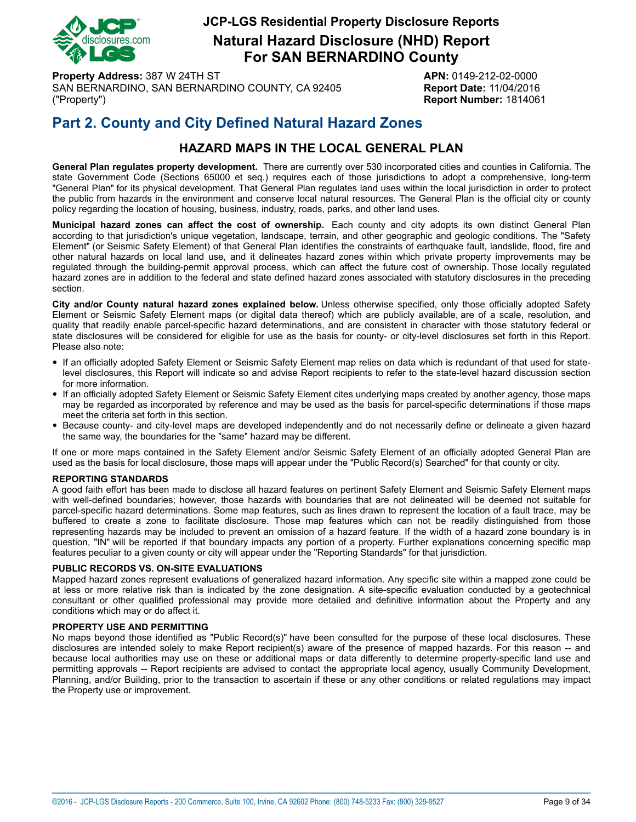

**Natural Hazard Disclosure (NHD) Report For SAN BERNARDINO County**

**Property Address:** 387 W 24TH ST **APN:** 0149-212-02-0000 SAN BERNARDINO, SAN BERNARDINO COUNTY, CA 92405 **Report Date:** 11/04/2016 ("Property") **Report Number:** 1814061

# **Part 2. County and City Defined Natural Hazard Zones**

## **HAZARD MAPS IN THE LOCAL GENERAL PLAN**

**General Plan regulates property development.** There are currently over 530 incorporated cities and counties in California. The state Government Code (Sections 65000 et seq.) requires each of those jurisdictions to adopt a comprehensive, long-term "General Plan" for its physical development. That General Plan regulates land uses within the local jurisdiction in order to protect the public from hazards in the environment and conserve local natural resources. The General Plan is the official city or county policy regarding the location of housing, business, industry, roads, parks, and other land uses.

**Municipal hazard zones can affect the cost of ownership.** Each county and city adopts its own distinct General Plan according to that jurisdiction's unique vegetation, landscape, terrain, and other geographic and geologic conditions. The "Safety Element" (or Seismic Safety Element) of that General Plan identifies the constraints of earthquake fault, landslide, flood, fire and other natural hazards on local land use, and it delineates hazard zones within which private property improvements may be regulated through the building-permit approval process, which can affect the future cost of ownership. Those locally regulated hazard zones are in addition to the federal and state defined hazard zones associated with statutory disclosures in the preceding section.

**City and/or County natural hazard zones explained below.** Unless otherwise specified, only those officially adopted Safety Element or Seismic Safety Element maps (or digital data thereof) which are publicly available, are of a scale, resolution, and quality that readily enable parcel-specific hazard determinations, and are consistent in character with those statutory federal or state disclosures will be considered for eligible for use as the basis for county- or city-level disclosures set forth in this Report. Please also note:

- If an officially adopted Safety Element or Seismic Safety Element map relies on data which is redundant of that used for statelevel disclosures, this Report will indicate so and advise Report recipients to refer to the state-level hazard discussion section for more information.
- If an officially adopted Safety Element or Seismic Safety Element cites underlying maps created by another agency, those maps may be regarded as incorporated by reference and may be used as the basis for parcel-specific determinations if those maps meet the criteria set forth in this section.
- Because county- and city-level maps are developed independently and do not necessarily define or delineate <sup>a</sup> given hazard the same way, the boundaries for the "same" hazard may be different.

If one or more maps contained in the Safety Element and/or Seismic Safety Element of an officially adopted General Plan are used as the basis for local disclosure, those maps will appear under the "Public Record(s) Searched" for that county or city.

#### **REPORTING STANDARDS**

A good faith effort has been made to disclose all hazard features on pertinent Safety Element and Seismic Safety Element maps with well-defined boundaries; however, those hazards with boundaries that are not delineated will be deemed not suitable for parcel-specific hazard determinations. Some map features, such as lines drawn to represent the location of a fault trace, may be buffered to create a zone to facilitate disclosure. Those map features which can not be readily distinguished from those representing hazards may be included to prevent an omission of a hazard feature. If the width of a hazard zone boundary is in question, "IN" will be reported if that boundary impacts any portion of a property. Further explanations concerning specific map features peculiar to a given county or city will appear under the "Reporting Standards" for that jurisdiction.

#### **PUBLIC RECORDS VS. ON-SITE EVALUATIONS**

Mapped hazard zones represent evaluations of generalized hazard information. Any specific site within a mapped zone could be at less or more relative risk than is indicated by the zone designation. A site-specific evaluation conducted by a geotechnical consultant or other qualified professional may provide more detailed and definitive information about the Property and any conditions which may or do affect it.

#### **PROPERTY USE AND PERMITTING**

No maps beyond those identified as "Public Record(s)" have been consulted for the purpose of these local disclosures. These disclosures are intended solely to make Report recipient(s) aware of the presence of mapped hazards. For this reason -- and because local authorities may use on these or additional maps or data differently to determine property-specific land use and permitting approvals -- Report recipients are advised to contact the appropriate local agency, usually Community Development, Planning, and/or Building, prior to the transaction to ascertain if these or any other conditions or related regulations may impact the Property use or improvement.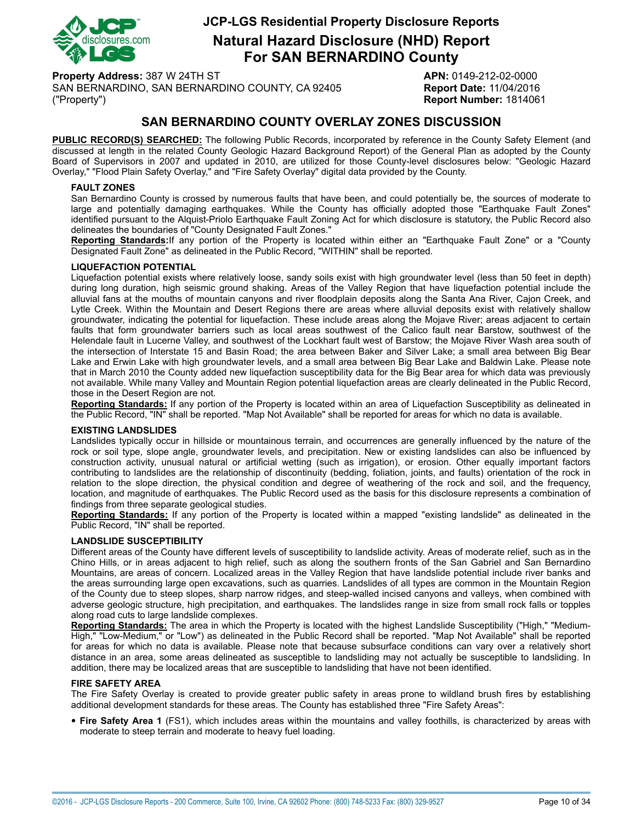

**Natural Hazard Disclosure (NHD) Report For SAN BERNARDINO County**

**Property Address:** 387 W 24TH ST **APN:** 0149-212-02-0000 SAN BERNARDINO, SAN BERNARDINO COUNTY, CA 92405 **Report Date:** 11/04/2016 ("Property") **Report Number:** 1814061

## **SAN BERNARDINO COUNTY OVERLAY ZONES DISCUSSION**

**PUBLIC RECORD(S) SEARCHED:** The following Public Records, incorporated by reference in the County Safety Element (and discussed at length in the related County Geologic Hazard Background Report) of the General Plan as adopted by the County Board of Supervisors in 2007 and updated in 2010, are utilized for those County-level disclosures below: "Geologic Hazard Overlay," "Flood Plain Safety Overlay," and "Fire Safety Overlay" digital data provided by the County.

#### <span id="page-9-1"></span>**FAULT ZONES**

San Bernardino County is crossed by numerous faults that have been, and could potentially be, the sources of moderate to large and potentially damaging earthquakes. While the County has officially adopted those "Earthquake Fault Zones" identified pursuant to the Alquist-Priolo Earthquake Fault Zoning Act for which disclosure is statutory, the Public Record also delineates the boundaries of "County Designated Fault Zones."

**Reporting Standards:**If any portion of the Property is located within either an "Earthquake Fault Zone" or a "County Designated Fault Zone" as delineated in the Public Record, "WITHIN" shall be reported.

#### <span id="page-9-0"></span>**LIQUEFACTION POTENTIAL**

Liquefaction potential exists where relatively loose, sandy soils exist with high groundwater level (less than 50 feet in depth) during long duration, high seismic ground shaking. Areas of the Valley Region that have liquefaction potential include the alluvial fans at the mouths of mountain canyons and river floodplain deposits along the Santa Ana River, Cajon Creek, and Lytle Creek. Within the Mountain and Desert Regions there are areas where alluvial deposits exist with relatively shallow groundwater, indicating the potential for liquefaction. These include areas along the Mojave River; areas adjacent to certain faults that form groundwater barriers such as local areas southwest of the Calico fault near Barstow, southwest of the Helendale fault in Lucerne Valley, and southwest of the Lockhart fault west of Barstow; the Mojave River Wash area south of the intersection of Interstate 15 and Basin Road; the area between Baker and Silver Lake; a small area between Big Bear Lake and Erwin Lake with high groundwater levels, and a small area between Big Bear Lake and Baldwin Lake. Please note that in March 2010 the County added new liquefaction susceptibility data for the Big Bear area for which data was previously not available. While many Valley and Mountain Region potential liquefaction areas are clearly delineated in the Public Record, those in the Desert Region are not.

**Reporting Standards:** If any portion of the Property is located within an area of Liquefaction Susceptibility as delineated in the Public Record, "IN" shall be reported. "Map Not Available" shall be reported for areas for which no data is available.

#### <span id="page-9-2"></span>**EXISTING LANDSLIDES**

Landslides typically occur in hillside or mountainous terrain, and occurrences are generally influenced by the nature of the rock or soil type, slope angle, groundwater levels, and precipitation. New or existing landslides can also be influenced by construction activity, unusual natural or artificial wetting (such as irrigation), or erosion. Other equally important factors contributing to landslides are the relationship of discontinuity (bedding, foliation, joints, and faults) orientation of the rock in relation to the slope direction, the physical condition and degree of weathering of the rock and soil, and the frequency, location, and magnitude of earthquakes. The Public Record used as the basis for this disclosure represents a combination of findings from three separate geological studies.

**Reporting Standards:** If any portion of the Property is located within a mapped "existing landslide" as delineated in the Public Record, "IN" shall be reported.

#### <span id="page-9-4"></span>**LANDSLIDE SUSCEPTIBILITY**

Different areas of the County have different levels of susceptibility to landslide activity. Areas of moderate relief, such as in the Chino Hills, or in areas adjacent to high relief, such as along the southern fronts of the San Gabriel and San Bernardino Mountains, are areas of concern. Localized areas in the Valley Region that have landslide potential include river banks and the areas surrounding large open excavations, such as quarries. Landslides of all types are common in the Mountain Region of the County due to steep slopes, sharp narrow ridges, and steep-walled incised canyons and valleys, when combined with adverse geologic structure, high precipitation, and earthquakes. The landslides range in size from small rock falls or topples along road cuts to large landslide complexes.

**Reporting Standards:** The area in which the Property is located with the highest Landslide Susceptibility ("High," "Medium-High," "Low-Medium," or "Low") as delineated in the Public Record shall be reported. "Map Not Available" shall be reported for areas for which no data is available. Please note that because subsurface conditions can vary over a relatively short distance in an area, some areas delineated as susceptible to landsliding may not actually be susceptible to landsliding. In addition, there may be localized areas that are susceptible to landsliding that have not been identified.

#### <span id="page-9-3"></span>**FIRE SAFETY AREA**

The Fire Safety Overlay is created to provide greater public safety in areas prone to wildland brush fires by establishing additional development standards for these areas. The County has established three "Fire Safety Areas":

• **Fire Safety Area <sup>1</sup>** (FS1), which includes areas within the mountains and valley foothills, is characterized by areas with moderate to steep terrain and moderate to heavy fuel loading.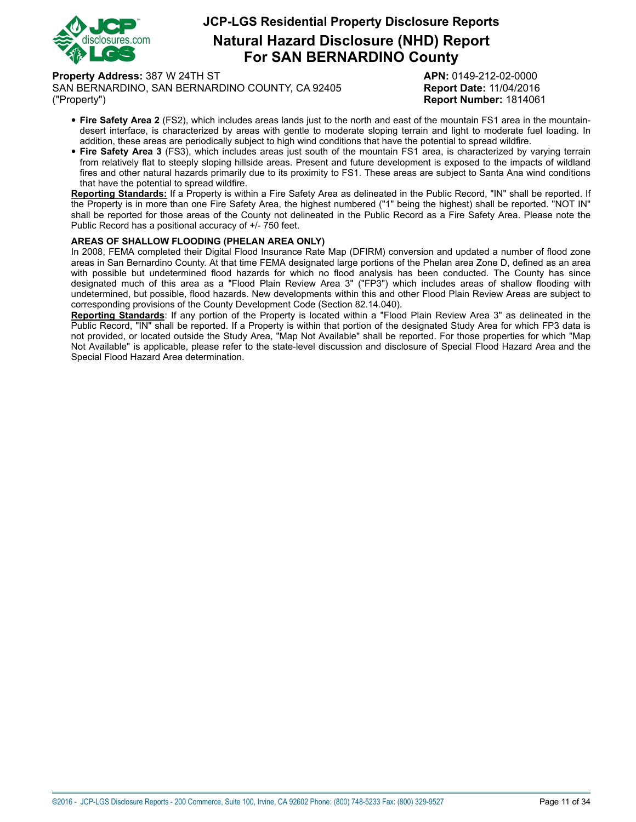

**Natural Hazard Disclosure (NHD) Report For SAN BERNARDINO County**

**Property Address:** 387 W 24TH ST **APN:** 0149-212-02-0000

SAN BERNARDINO, SAN BERNARDINO COUNTY, CA 92405 **Report Date:** 11/04/2016 ("Property") **Report Number:** 1814061

- **Fire Safety Area <sup>2</sup>** (FS2), which includes areas lands just to the north and east of the mountain FS1 area in the mountaindesert interface, is characterized by areas with gentle to moderate sloping terrain and light to moderate fuel loading. In addition, these areas are periodically subject to high wind conditions that have the potential to spread wildfire.
- **Fire Safety Area <sup>3</sup>** (FS3), which includes areas just south of the mountain FS1 area, is characterized by varying terrain from relatively flat to steeply sloping hillside areas. Present and future development is exposed to the impacts of wildland fires and other natural hazards primarily due to its proximity to FS1. These areas are subject to Santa Ana wind conditions that have the potential to spread wildfire.

**Reporting Standards:** If a Property is within a Fire Safety Area as delineated in the Public Record, "IN" shall be reported. If the Property is in more than one Fire Safety Area, the highest numbered ("1" being the highest) shall be reported. "NOT IN" shall be reported for those areas of the County not delineated in the Public Record as a Fire Safety Area. Please note the Public Record has a positional accuracy of +/- 750 feet.

#### <span id="page-10-0"></span>**AREAS OF SHALLOW FLOODING (PHELAN AREA ONLY)**

In 2008, FEMA completed their Digital Flood Insurance Rate Map (DFIRM) conversion and updated a number of flood zone areas in San Bernardino County. At that time FEMA designated large portions of the Phelan area Zone D, defined as an area with possible but undetermined flood hazards for which no flood analysis has been conducted. The County has since designated much of this area as a "Flood Plain Review Area 3" ("FP3") which includes areas of shallow flooding with undetermined, but possible, flood hazards. New developments within this and other Flood Plain Review Areas are subject to corresponding provisions of the County Development Code (Section 82.14.040).

**Reporting Standards**: If any portion of the Property is located within a "Flood Plain Review Area 3" as delineated in the Public Record, "IN" shall be reported. If a Property is within that portion of the designated Study Area for which FP3 data is not provided, or located outside the Study Area, "Map Not Available" shall be reported. For those properties for which "Map Not Available" is applicable, please refer to the state-level discussion and disclosure of Special Flood Hazard Area and the Special Flood Hazard Area determination.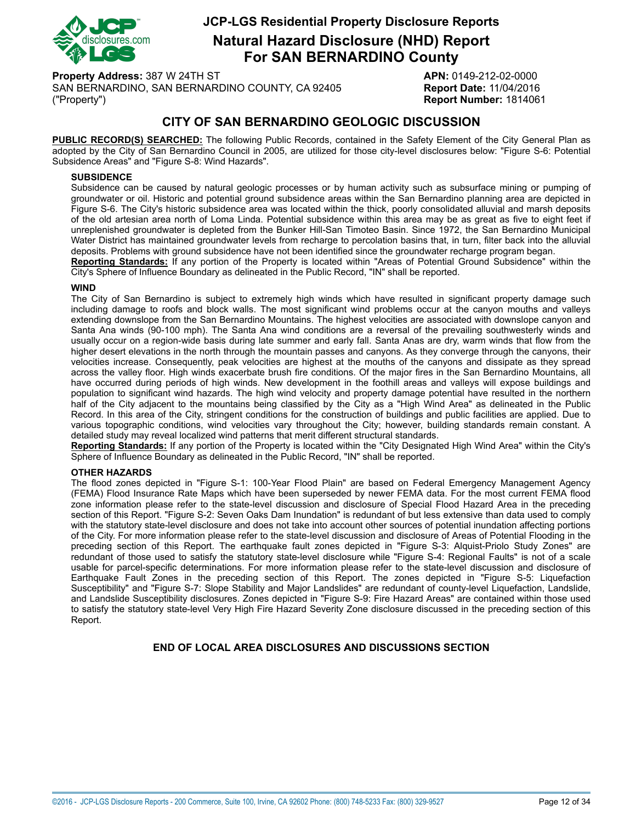

**Natural Hazard Disclosure (NHD) Report For SAN BERNARDINO County**

**Property Address:** 387 W 24TH ST **APN:** 0149-212-02-0000 SAN BERNARDINO, SAN BERNARDINO COUNTY, CA 92405 **Report Date:** 11/04/2016 ("Property") **Report Number:** 1814061

## **CITY OF SAN BERNARDINO GEOLOGIC DISCUSSION**

**PUBLIC RECORD(S) SEARCHED:** The following Public Records, contained in the Safety Element of the City General Plan as adopted by the City of San Bernardino Council in 2005, are utilized for those city-level disclosures below: "Figure S-6: Potential Subsidence Areas" and "Figure S-8: Wind Hazards".

#### <span id="page-11-1"></span>**SUBSIDENCE**

Subsidence can be caused by natural geologic processes or by human activity such as subsurface mining or pumping of groundwater or oil. Historic and potential ground subsidence areas within the San Bernardino planning area are depicted in Figure S-6. The City's historic subsidence area was located within the thick, poorly consolidated alluvial and marsh deposits of the old artesian area north of Loma Linda. Potential subsidence within this area may be as great as five to eight feet if unreplenished groundwater is depleted from the Bunker Hill-San Timoteo Basin. Since 1972, the San Bernardino Municipal Water District has maintained groundwater levels from recharge to percolation basins that, in turn, filter back into the alluvial deposits. Problems with ground subsidence have not been identified since the groundwater recharge program began.

**Reporting Standards:** If any portion of the Property is located within "Areas of Potential Ground Subsidence" within the City's Sphere of Influence Boundary as delineated in the Public Record, "IN" shall be reported.

#### <span id="page-11-0"></span>**WIND**

The City of San Bernardino is subject to extremely high winds which have resulted in significant property damage such including damage to roofs and block walls. The most significant wind problems occur at the canyon mouths and valleys extending downslope from the San Bernardino Mountains. The highest velocities are associated with downslope canyon and Santa Ana winds (90-100 mph). The Santa Ana wind conditions are a reversal of the prevailing southwesterly winds and usually occur on a region-wide basis during late summer and early fall. Santa Anas are dry, warm winds that flow from the higher desert elevations in the north through the mountain passes and canyons. As they converge through the canyons, their velocities increase. Consequently, peak velocities are highest at the mouths of the canyons and dissipate as they spread across the valley floor. High winds exacerbate brush fire conditions. Of the major fires in the San Bernardino Mountains, all have occurred during periods of high winds. New development in the foothill areas and valleys will expose buildings and population to significant wind hazards. The high wind velocity and property damage potential have resulted in the northern half of the City adjacent to the mountains being classified by the City as a "High Wind Area" as delineated in the Public Record. In this area of the City, stringent conditions for the construction of buildings and public facilities are applied. Due to various topographic conditions, wind velocities vary throughout the City; however, building standards remain constant. A detailed study may reveal localized wind patterns that merit different structural standards.

**Reporting Standards:** If any portion of the Property is located within the "City Designated High Wind Area" within the City's Sphere of Influence Boundary as delineated in the Public Record, "IN" shall be reported.

#### **OTHER HAZARDS**

The flood zones depicted in "Figure S-1: 100-Year Flood Plain" are based on Federal Emergency Management Agency (FEMA) Flood Insurance Rate Maps which have been superseded by newer FEMA data. For the most current FEMA flood zone information please refer to the state-level discussion and disclosure of Special Flood Hazard Area in the preceding section of this Report. "Figure S-2: Seven Oaks Dam Inundation" is redundant of but less extensive than data used to comply with the statutory state-level disclosure and does not take into account other sources of potential inundation affecting portions of the City. For more information please refer to the state-level discussion and disclosure of Areas of Potential Flooding in the preceding section of this Report. The earthquake fault zones depicted in "Figure S-3: Alquist-Priolo Study Zones" are redundant of those used to satisfy the statutory state-level disclosure while "Figure S-4: Regional Faults" is not of a scale usable for parcel-specific determinations. For more information please refer to the state-level discussion and disclosure of Earthquake Fault Zones in the preceding section of this Report. The zones depicted in "Figure S-5: Liquefaction Susceptibility" and "Figure S-7: Slope Stability and Major Landslides" are redundant of county-level Liquefaction, Landslide, and Landslide Susceptibility disclosures. Zones depicted in "Figure S-9: Fire Hazard Areas" are contained within those used to satisfy the statutory state-level Very High Fire Hazard Severity Zone disclosure discussed in the preceding section of this Report.

#### **END OF LOCAL AREA DISCLOSURES AND DISCUSSIONS SECTION**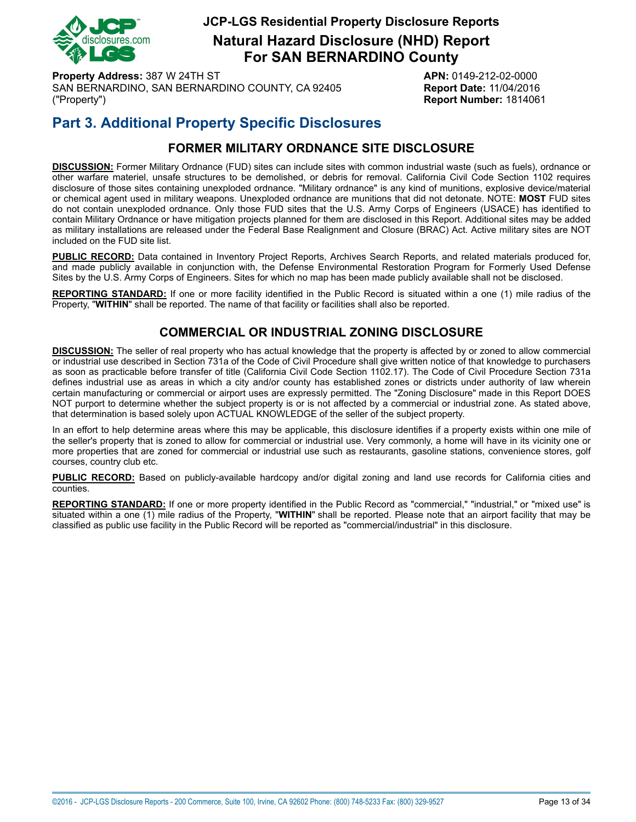

**Natural Hazard Disclosure (NHD) Report For SAN BERNARDINO County**

**Property Address:** 387 W 24TH ST **APN:** 0149-212-02-0000 SAN BERNARDINO, SAN BERNARDINO COUNTY, CA 92405 **Report Date:** 11/04/2016 ("Property") **Report Number:** 1814061

# **Part 3. Additional Property Specific Disclosures**

## **FORMER MILITARY ORDNANCE SITE DISCLOSURE**

<span id="page-12-0"></span>**DISCUSSION:** Former Military Ordnance (FUD) sites can include sites with common industrial waste (such as fuels), ordnance or other warfare materiel, unsafe structures to be demolished, or debris for removal. California Civil Code Section 1102 requires disclosure of those sites containing unexploded ordnance. "Military ordnance" is any kind of munitions, explosive device/material or chemical agent used in military weapons. Unexploded ordnance are munitions that did not detonate. NOTE: **MOST** FUD sites do not contain unexploded ordnance. Only those FUD sites that the U.S. Army Corps of Engineers (USACE) has identified to contain Military Ordnance or have mitigation projects planned for them are disclosed in this Report. Additional sites may be added as military installations are released under the Federal Base Realignment and Closure (BRAC) Act. Active military sites are NOT included on the FUD site list.

**PUBLIC RECORD:** Data contained in Inventory Project Reports, Archives Search Reports, and related materials produced for, and made publicly available in conjunction with, the Defense Environmental Restoration Program for Formerly Used Defense Sites by the U.S. Army Corps of Engineers. Sites for which no map has been made publicly available shall not be disclosed.

<span id="page-12-1"></span>**REPORTING STANDARD:** If one or more facility identified in the Public Record is situated within a one (1) mile radius of the Property, "**WITHIN**" shall be reported. The name of that facility or facilities shall also be reported.

## **COMMERCIAL OR INDUSTRIAL ZONING DISCLOSURE**

**DISCUSSION:** The seller of real property who has actual knowledge that the property is affected by or zoned to allow commercial or industrial use described in Section 731a of the Code of Civil Procedure shall give written notice of that knowledge to purchasers as soon as practicable before transfer of title (California Civil Code Section 1102.17). The Code of Civil Procedure Section 731a defines industrial use as areas in which a city and/or county has established zones or districts under authority of law wherein certain manufacturing or commercial or airport uses are expressly permitted. The "Zoning Disclosure" made in this Report DOES NOT purport to determine whether the subject property is or is not affected by a commercial or industrial zone. As stated above, that determination is based solely upon ACTUAL KNOWLEDGE of the seller of the subject property.

In an effort to help determine areas where this may be applicable, this disclosure identifies if a property exists within one mile of the seller's property that is zoned to allow for commercial or industrial use. Very commonly, a home will have in its vicinity one or more properties that are zoned for commercial or industrial use such as restaurants, gasoline stations, convenience stores, golf courses, country club etc.

**PUBLIC RECORD:** Based on publicly-available hardcopy and/or digital zoning and land use records for California cities and counties.

**REPORTING STANDARD:** If one or more property identified in the Public Record as "commercial," "industrial," or "mixed use" is situated within a one (1) mile radius of the Property, "**WITHIN**" shall be reported. Please note that an airport facility that may be classified as public use facility in the Public Record will be reported as "commercial/industrial" in this disclosure.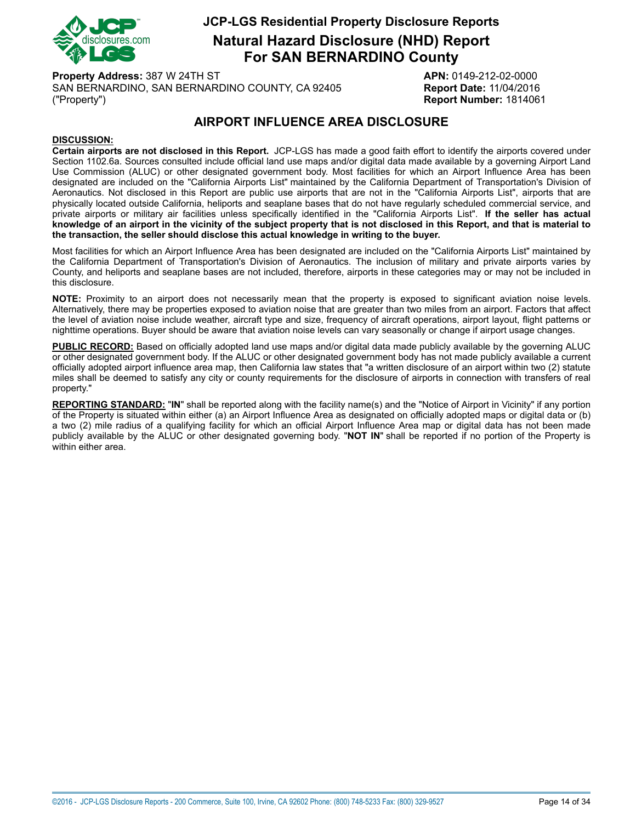

**Natural Hazard Disclosure (NHD) Report For SAN BERNARDINO County**

**Property Address:** 387 W 24TH ST **APN:** 0149-212-02-0000 SAN BERNARDINO, SAN BERNARDINO COUNTY, CA 92405 **Report Date:** 11/04/2016 ("Property") **Report Number:** 1814061

## **AIRPORT INFLUENCE AREA DISCLOSURE**

#### <span id="page-13-0"></span>**DISCUSSION:**

**Certain airports are not disclosed in this Report.** JCP-LGS has made a good faith effort to identify the airports covered under Section 1102.6a. Sources consulted include official land use maps and/or digital data made available by a governing Airport Land Use Commission (ALUC) or other designated government body. Most facilities for which an Airport Influence Area has been designated are included on the "California Airports List" maintained by the California Department of Transportation's Division of Aeronautics. Not disclosed in this Report are public use airports that are not in the "California Airports List", airports that are physically located outside California, heliports and seaplane bases that do not have regularly scheduled commercial service, and private airports or military air facilities unless specifically identified in the "California Airports List". **If the seller has actual** knowledge of an airport in the vicinity of the subject property that is not disclosed in this Report, and that is material to **the transaction, the seller should disclose this actual knowledge in writing to the buyer.**

Most facilities for which an Airport Influence Area has been designated are included on the "California Airports List" maintained by the California Department of Transportation's Division of Aeronautics. The inclusion of military and private airports varies by County, and heliports and seaplane bases are not included, therefore, airports in these categories may or may not be included in this disclosure.

**NOTE:** Proximity to an airport does not necessarily mean that the property is exposed to significant aviation noise levels. Alternatively, there may be properties exposed to aviation noise that are greater than two miles from an airport. Factors that affect the level of aviation noise include weather, aircraft type and size, frequency of aircraft operations, airport layout, flight patterns or nighttime operations. Buyer should be aware that aviation noise levels can vary seasonally or change if airport usage changes.

**PUBLIC RECORD:** Based on officially adopted land use maps and/or digital data made publicly available by the governing ALUC or other designated government body. If the ALUC or other designated government body has not made publicly available a current officially adopted airport influence area map, then California law states that "a written disclosure of an airport within two (2) statute miles shall be deemed to satisfy any city or county requirements for the disclosure of airports in connection with transfers of real property."

**REPORTING STANDARD:** "**IN**" shall be reported along with the facility name(s) and the "Notice of Airport in Vicinity" if any portion of the Property is situated within either (a) an Airport Influence Area as designated on officially adopted maps or digital data or (b) a two (2) mile radius of a qualifying facility for which an official Airport Influence Area map or digital data has not been made publicly available by the ALUC or other designated governing body. "**NOT IN**" shall be reported if no portion of the Property is within either area.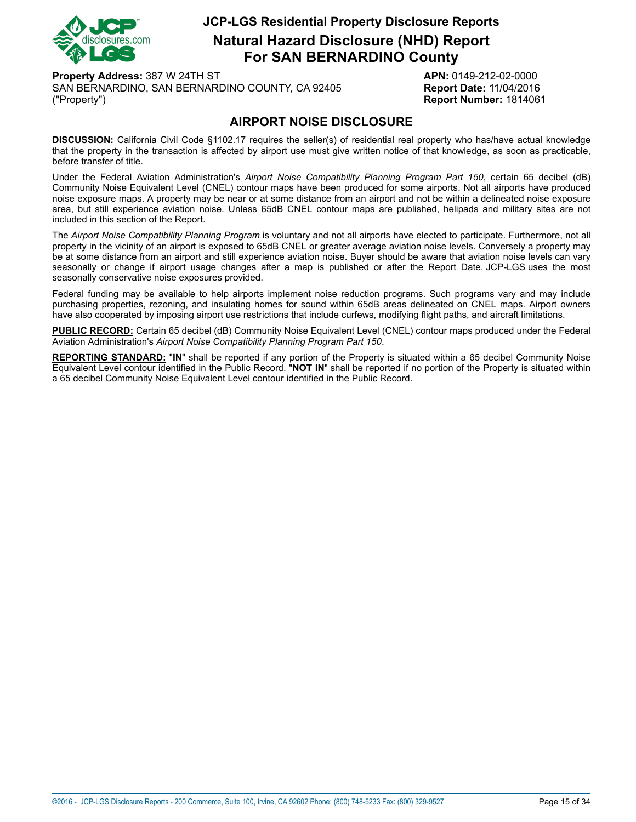

**Natural Hazard Disclosure (NHD) Report For SAN BERNARDINO County**

**Property Address:** 387 W 24TH ST **APN:** 0149-212-02-0000 SAN BERNARDINO, SAN BERNARDINO COUNTY, CA 92405 **Report Date:** 11/04/2016 ("Property") **Report Number:** 1814061

## **AIRPORT NOISE DISCLOSURE**

<span id="page-14-0"></span>**DISCUSSION:** California Civil Code §1102.17 requires the seller(s) of residential real property who has/have actual knowledge that the property in the transaction is affected by airport use must give written notice of that knowledge, as soon as practicable, before transfer of title.

Under the Federal Aviation Administration's *Airport Noise Compatibility Planning Program Part 150*, certain 65 decibel (dB) Community Noise Equivalent Level (CNEL) contour maps have been produced for some airports. Not all airports have produced noise exposure maps. A property may be near or at some distance from an airport and not be within a delineated noise exposure area, but still experience aviation noise. Unless 65dB CNEL contour maps are published, helipads and military sites are not included in this section of the Report.

The *Airport Noise Compatibility Planning Program* is voluntary and not all airports have elected to participate. Furthermore, not all property in the vicinity of an airport is exposed to 65dB CNEL or greater average aviation noise levels. Conversely a property may be at some distance from an airport and still experience aviation noise. Buyer should be aware that aviation noise levels can vary seasonally or change if airport usage changes after a map is published or after the Report Date. JCP-LGS uses the most seasonally conservative noise exposures provided.

Federal funding may be available to help airports implement noise reduction programs. Such programs vary and may include purchasing properties, rezoning, and insulating homes for sound within 65dB areas delineated on CNEL maps. Airport owners have also cooperated by imposing airport use restrictions that include curfews, modifying flight paths, and aircraft limitations.

**PUBLIC RECORD:** Certain 65 decibel (dB) Community Noise Equivalent Level (CNEL) contour maps produced under the Federal Aviation Administration's *Airport Noise Compatibility Planning Program Part 150*.

**REPORTING STANDARD:** "**IN**" shall be reported if any portion of the Property is situated within a 65 decibel Community Noise Equivalent Level contour identified in the Public Record. "**NOT IN**" shall be reported if no portion of the Property is situated within a 65 decibel Community Noise Equivalent Level contour identified in the Public Record.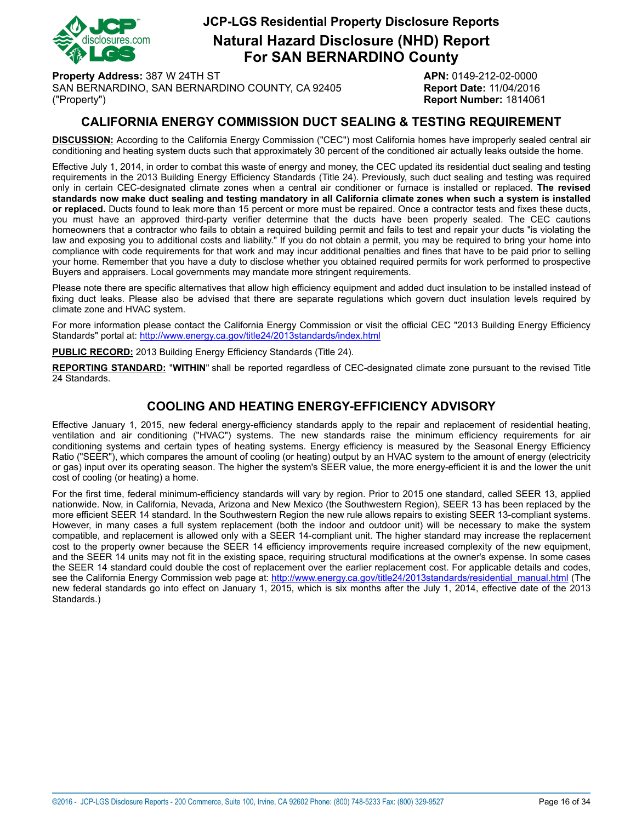

**Natural Hazard Disclosure (NHD) Report For SAN BERNARDINO County**

**Property Address:** 387 W 24TH ST **APN:** 0149-212-02-0000 SAN BERNARDINO, SAN BERNARDINO COUNTY, CA 92405 **Report Date:** 11/04/2016 ("Property") **Report Number:** 1814061

## **CALIFORNIA ENERGY COMMISSION DUCT SEALING & TESTING REQUIREMENT**

<span id="page-15-0"></span>**DISCUSSION:** According to the California Energy Commission ("CEC") most California homes have improperly sealed central air conditioning and heating system ducts such that approximately 30 percent of the conditioned air actually leaks outside the home.

Effective July 1, 2014, in order to combat this waste of energy and money, the CEC updated its residential duct sealing and testing requirements in the 2013 Building Energy Efficiency Standards (Title 24). Previously, such duct sealing and testing was required only in certain CEC-designated climate zones when a central air conditioner or furnace is installed or replaced. **The revised** standards now make duct sealing and testing mandatory in all California climate zones when such a system is installed **or replaced.** Ducts found to leak more than 15 percent or more must be repaired. Once a contractor tests and fixes these ducts, you must have an approved third-party verifier determine that the ducts have been properly sealed. The CEC cautions homeowners that a contractor who fails to obtain a required building permit and fails to test and repair your ducts "is violating the law and exposing you to additional costs and liability." If you do not obtain a permit, you may be required to bring your home into compliance with code requirements for that work and may incur additional penalties and fines that have to be paid prior to selling your home. Remember that you have a duty to disclose whether you obtained required permits for work performed to prospective Buyers and appraisers. Local governments may mandate more stringent requirements.

Please note there are specific alternatives that allow high efficiency equipment and added duct insulation to be installed instead of fixing duct leaks. Please also be advised that there are separate regulations which govern duct insulation levels required by climate zone and HVAC system.

For more information please contact the California Energy Commission or visit the official CEC "2013 Building Energy Efficiency Standards" portal at: <http://www.energy.ca.gov/title24/2013standards/index.html>

**PUBLIC RECORD:** 2013 Building Energy Efficiency Standards (Title 24).

**REPORTING STANDARD:** "**WITHIN**" shall be reported regardless of CEC-designated climate zone pursuant to the revised Title 24 Standards.

### **COOLING AND HEATING ENERGY-EFFICIENCY ADVISORY**

Effective January 1, 2015, new federal energy-efficiency standards apply to the repair and replacement of residential heating, ventilation and air conditioning ("HVAC") systems. The new standards raise the minimum efficiency requirements for air conditioning systems and certain types of heating systems. Energy efficiency is measured by the Seasonal Energy Efficiency Ratio ("SEER"), which compares the amount of cooling (or heating) output by an HVAC system to the amount of energy (electricity or gas) input over its operating season. The higher the system's SEER value, the more energy-efficient it is and the lower the unit cost of cooling (or heating) a home.

For the first time, federal minimum-efficiency standards will vary by region. Prior to 2015 one standard, called SEER 13, applied nationwide. Now, in California, Nevada, Arizona and New Mexico (the Southwestern Region), SEER 13 has been replaced by the more efficient SEER 14 standard. In the Southwestern Region the new rule allows repairs to existing SEER 13-compliant systems. However, in many cases a full system replacement (both the indoor and outdoor unit) will be necessary to make the system compatible, and replacement is allowed only with a SEER 14-compliant unit. The higher standard may increase the replacement cost to the property owner because the SEER 14 efficiency improvements require increased complexity of the new equipment, and the SEER 14 units may not fit in the existing space, requiring structural modifications at the owner's expense. In some cases the SEER 14 standard could double the cost of replacement over the earlier replacement cost. For applicable details and codes, see the California Energy Commission web page at: [http://www.energy.ca.gov/title24/2013standards/residential\\_manual.html](http://www.energy.ca.gov/title24/2013standards/residential_manual.html) (The new federal standards go into effect on January 1, 2015, which is six months after the July 1, 2014, effective date of the 2013 Standards.)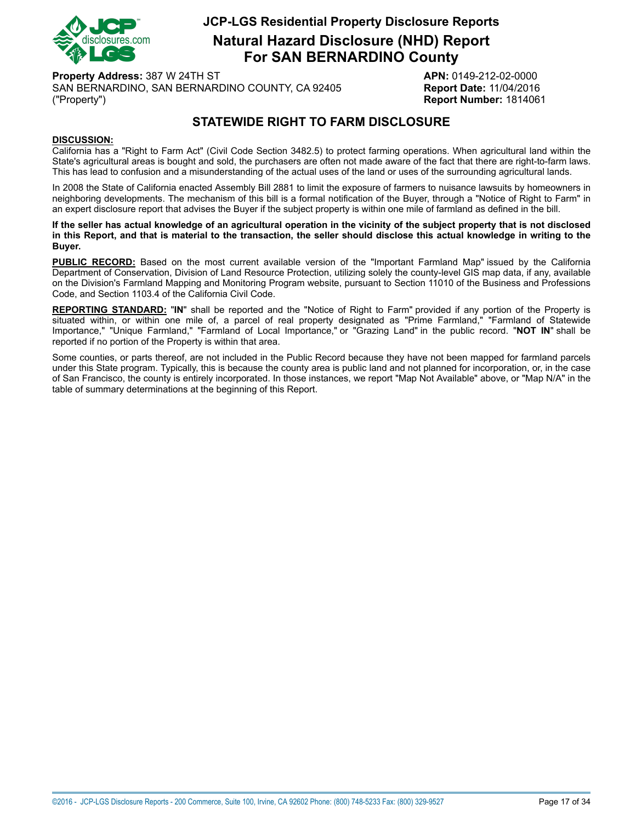

**Natural Hazard Disclosure (NHD) Report For SAN BERNARDINO County**

**Property Address:** 387 W 24TH ST **APN:** 0149-212-02-0000 SAN BERNARDINO, SAN BERNARDINO COUNTY, CA 92405 **Report Date:** 11/04/2016 ("Property") **Report Number:** 1814061

## **STATEWIDE RIGHT TO FARM DISCLOSURE**

#### <span id="page-16-0"></span>**DISCUSSION:**

California has a "Right to Farm Act" (Civil Code Section 3482.5) to protect farming operations. When agricultural land within the State's agricultural areas is bought and sold, the purchasers are often not made aware of the fact that there are right-to-farm laws. This has lead to confusion and a misunderstanding of the actual uses of the land or uses of the surrounding agricultural lands.

In 2008 the State of California enacted Assembly Bill 2881 to limit the exposure of farmers to nuisance lawsuits by homeowners in neighboring developments. The mechanism of this bill is a formal notification of the Buyer, through a "Notice of Right to Farm" in an expert disclosure report that advises the Buyer if the subject property is within one mile of farmland as defined in the bill.

If the seller has actual knowledge of an agricultural operation in the vicinity of the subject property that is not disclosed in this Report, and that is material to the transaction, the seller should disclose this actual knowledge in writing to the **Buyer.**

**PUBLIC RECORD:** Based on the most current available version of the "Important Farmland Map" issued by the California Department of Conservation, Division of Land Resource Protection, utilizing solely the county-level GIS map data, if any, available on the Division's Farmland Mapping and Monitoring Program website, pursuant to Section 11010 of the Business and Professions Code, and Section 1103.4 of the California Civil Code.

**REPORTING STANDARD:** "**IN**" shall be reported and the "Notice of Right to Farm" provided if any portion of the Property is situated within, or within one mile of, a parcel of real property designated as "Prime Farmland," "Farmland of Statewide Importance," "Unique Farmland," "Farmland of Local Importance," or "Grazing Land" in the public record. "**NOT IN**" shall be reported if no portion of the Property is within that area.

Some counties, or parts thereof, are not included in the Public Record because they have not been mapped for farmland parcels under this State program. Typically, this is because the county area is public land and not planned for incorporation, or, in the case of San Francisco, the county is entirely incorporated. In those instances, we report "Map Not Available" above, or "Map N/A" in the table of summary determinations at the beginning of this Report.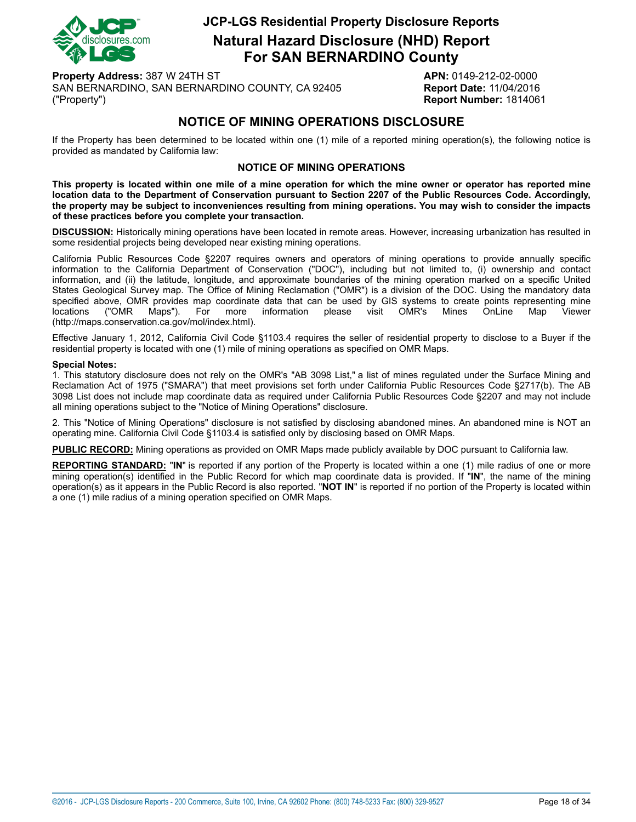

**Natural Hazard Disclosure (NHD) Report For SAN BERNARDINO County**

**Property Address:** 387 W 24TH ST **APN:** 0149-212-02-0000 SAN BERNARDINO, SAN BERNARDINO COUNTY, CA 92405 **Report Date:** 11/04/2016 ("Property") **Report Number:** 1814061

## **NOTICE OF MINING OPERATIONS DISCLOSURE**

<span id="page-17-0"></span>If the Property has been determined to be located within one (1) mile of a reported mining operation(s), the following notice is provided as mandated by California law:

#### **NOTICE OF MINING OPERATIONS**

This property is located within one mile of a mine operation for which the mine owner or operator has reported mine location data to the Department of Conservation pursuant to Section 2207 of the Public Resources Code. Accordingly, the property may be subject to inconveniences resulting from mining operations. You may wish to consider the impacts **of these practices before you complete your transaction.**

**DISCUSSION:** Historically mining operations have been located in remote areas. However, increasing urbanization has resulted in some residential projects being developed near existing mining operations.

California Public Resources Code §2207 requires owners and operators of mining operations to provide annually specific information to the California Department of Conservation ("DOC"), including but not limited to, (i) ownership and contact information, and (ii) the latitude, longitude, and approximate boundaries of the mining operation marked on a specific United States Geological Survey map. The Office of Mining Reclamation ("OMR") is a division of the DOC. Using the mandatory data specified above, OMR provides map coordinate data that can be used by GIS systems to create points representing mine<br>locations ("OMR Maps"). For more information please visit OMR's Mines OnLine Map Viewer locations ("OMR Maps"). For more information please visit OMR's Mines OnLine Map Viewer (http://maps.conservation.ca.gov/mol/index.html).

Effective January 1, 2012, California Civil Code §1103.4 requires the seller of residential property to disclose to a Buyer if the residential property is located with one (1) mile of mining operations as specified on OMR Maps.

#### **Special Notes:**

1. This statutory disclosure does not rely on the OMR's "AB 3098 List," a list of mines regulated under the Surface Mining and Reclamation Act of 1975 ("SMARA") that meet provisions set forth under California Public Resources Code §2717(b). The AB 3098 List does not include map coordinate data as required under California Public Resources Code §2207 and may not include all mining operations subject to the "Notice of Mining Operations" disclosure.

2. This "Notice of Mining Operations" disclosure is not satisfied by disclosing abandoned mines. An abandoned mine is NOT an operating mine. California Civil Code §1103.4 is satisfied only by disclosing based on OMR Maps.

**PUBLIC RECORD:** Mining operations as provided on OMR Maps made publicly available by DOC pursuant to California law.

**REPORTING STANDARD:** "**IN**" is reported if any portion of the Property is located within a one (1) mile radius of one or more mining operation(s) identified in the Public Record for which map coordinate data is provided. If "**IN**", the name of the mining operation(s) as it appears in the Public Record is also reported. "**NOT IN**" is reported if no portion of the Property is located within a one (1) mile radius of a mining operation specified on OMR Maps.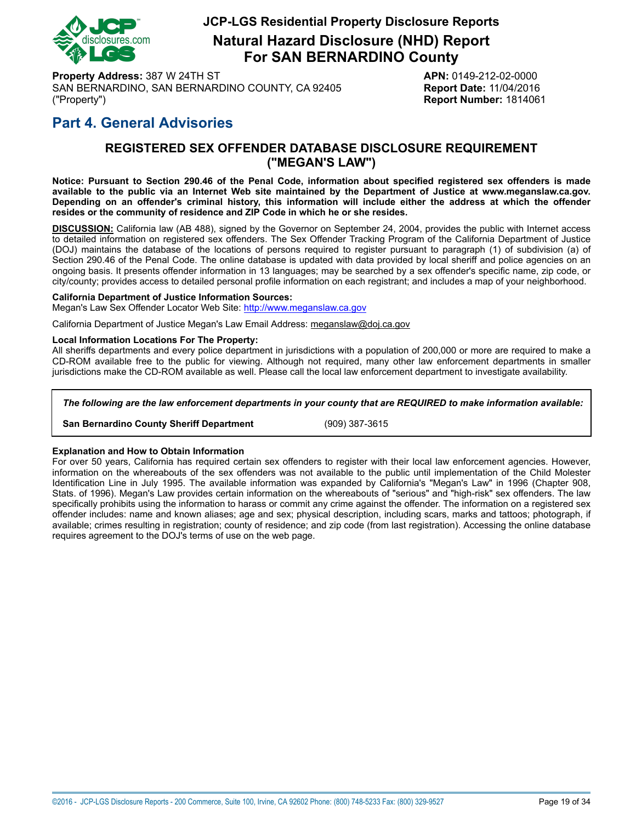

**Natural Hazard Disclosure (NHD) Report For SAN BERNARDINO County**

**Property Address:** 387 W 24TH ST **APN:** 0149-212-02-0000 SAN BERNARDINO, SAN BERNARDINO COUNTY, CA 92405 **Report Date:** 11/04/2016 ("Property") **Report Number:** 1814061

## <span id="page-18-0"></span>**Part 4. General Advisories**

#### **REGISTERED SEX OFFENDER DATABASE DISCLOSURE REQUIREMENT ("MEGAN'S LAW")**

Notice: Pursuant to Section 290.46 of the Penal Code, information about specified registered sex offenders is made available to the public via an Internet Web site maintained by the Department of Justice at www.meganslaw.ca.gov. Depending on an offender's criminal history, this information will include either the address at which the offender **resides or the community of residence and ZIP Code in which he or she resides.**

**DISCUSSION:** California law (AB 488), signed by the Governor on September 24, 2004, provides the public with Internet access to detailed information on registered sex offenders. The Sex Offender Tracking Program of the California Department of Justice (DOJ) maintains the database of the locations of persons required to register pursuant to paragraph (1) of subdivision (a) of Section 290.46 of the Penal Code. The online database is updated with data provided by local sheriff and police agencies on an ongoing basis. It presents offender information in 13 languages; may be searched by a sex offender's specific name, zip code, or city/county; provides access to detailed personal profile information on each registrant; and includes a map of your neighborhood.

#### **California Department of Justice Information Sources:**

Megan's Law Sex Offender Locator Web Site: <http://www.meganslaw.ca.gov>

California Department of Justice Megan's Law Email Address: meganslaw@doj.ca.gov

#### **Local Information Locations For The Property:**

All sheriffs departments and every police department in jurisdictions with a population of 200,000 or more are required to make a CD-ROM available free to the public for viewing. Although not required, many other law enforcement departments in smaller jurisdictions make the CD-ROM available as well. Please call the local law enforcement department to investigate availability.

#### *The following are the law enforcement departments in your county that are REQUIRED to make information available:*

**San Bernardino County Sheriff Department** (909) 387-3615

#### **Explanation and How to Obtain Information**

For over 50 years, California has required certain sex offenders to register with their local law enforcement agencies. However, information on the whereabouts of the sex offenders was not available to the public until implementation of the Child Molester Identification Line in July 1995. The available information was expanded by California's "Megan's Law" in 1996 (Chapter 908, Stats. of 1996). Megan's Law provides certain information on the whereabouts of "serious" and "high-risk" sex offenders. The law specifically prohibits using the information to harass or commit any crime against the offender. The information on a registered sex offender includes: name and known aliases; age and sex; physical description, including scars, marks and tattoos; photograph, if available; crimes resulting in registration; county of residence; and zip code (from last registration). Accessing the online database requires agreement to the DOJ's terms of use on the web page.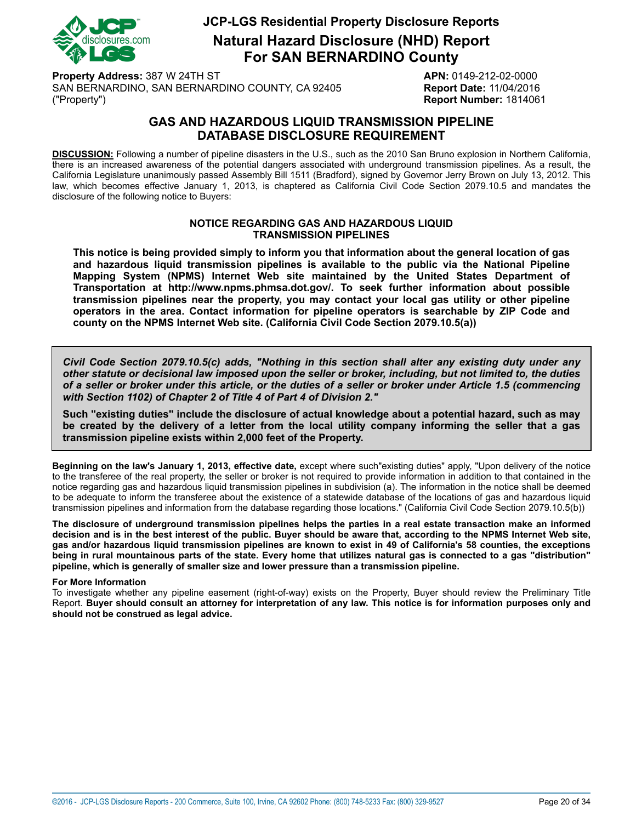

**Natural Hazard Disclosure (NHD) Report For SAN BERNARDINO County**

**Property Address:** 387 W 24TH ST **APN:** 0149-212-02-0000 SAN BERNARDINO, SAN BERNARDINO COUNTY, CA 92405 **Report Date:** 11/04/2016 ("Property") **Report Number:** 1814061

### **GAS AND HAZARDOUS LIQUID TRANSMISSION PIPELINE DATABASE DISCLOSURE REQUIREMENT**

<span id="page-19-0"></span>**DISCUSSION:** Following a number of pipeline disasters in the U.S., such as the 2010 San Bruno explosion in Northern California, there is an increased awareness of the potential dangers associated with underground transmission pipelines. As a result, the California Legislature unanimously passed Assembly Bill 1511 (Bradford), signed by Governor Jerry Brown on July 13, 2012. This law, which becomes effective January 1, 2013, is chaptered as California Civil Code Section 2079.10.5 and mandates the disclosure of the following notice to Buyers:

#### **NOTICE REGARDING GAS AND HAZARDOUS LIQUID TRANSMISSION PIPELINES**

**This notice is being provided simply to inform you that information about the general location of gas and hazardous liquid transmission pipelines is available to the public via the National Pipeline Mapping System (NPMS) Internet Web site maintained by the United States Department of Transportation at http://www.npms.phmsa.dot.gov/. To seek further information about possible transmission pipelines near the property, you may contact your local gas utility or other pipeline operators in the area. Contact information for pipeline operators is searchable by ZIP Code and county on the NPMS Internet Web site. (California Civil Code Section 2079.10.5(a))**

*Civil Code Section 2079.10.5(c) adds, "Nothing in this section shall alter any existing duty under any* other statute or decisional law imposed upon the seller or broker, including, but not limited to, the duties of a seller or broker under this article, or the duties of a seller or broker under Article 1.5 (commencing *with Section 1102) of Chapter 2 of Title 4 of Part 4 of Division 2."*

**Such "existing duties" include the disclosure of actual knowledge about a potential hazard, such as may** be created by the delivery of a letter from the local utility company informing the seller that a gas **transmission pipeline exists within 2,000 feet of the Property.**

**Beginning on the law's January 1, 2013, effective date,** except where such"existing duties" apply, "Upon delivery of the notice to the transferee of the real property, the seller or broker is not required to provide information in addition to that contained in the notice regarding gas and hazardous liquid transmission pipelines in subdivision (a). The information in the notice shall be deemed to be adequate to inform the transferee about the existence of a statewide database of the locations of gas and hazardous liquid transmission pipelines and information from the database regarding those locations." (California Civil Code Section 2079.10.5(b))

The disclosure of underground transmission pipelines helps the parties in a real estate transaction make an informed decision and is in the best interest of the public. Buver should be aware that, according to the NPMS Internet Web site. gas and/or hazardous liguid transmission pipelines are known to exist in 49 of California's 58 counties, the exceptions being in rural mountainous parts of the state. Every home that utilizes natural gas is connected to a gas "distribution" **pipeline, which is generally of smaller size and lower pressure than a transmission pipeline.**

#### **For More Information**

To investigate whether any pipeline easement (right-of-way) exists on the Property, Buyer should review the Preliminary Title Report. Buyer should consult an attorney for interpretation of any law. This notice is for information purposes only and **should not be construed as legal advice.**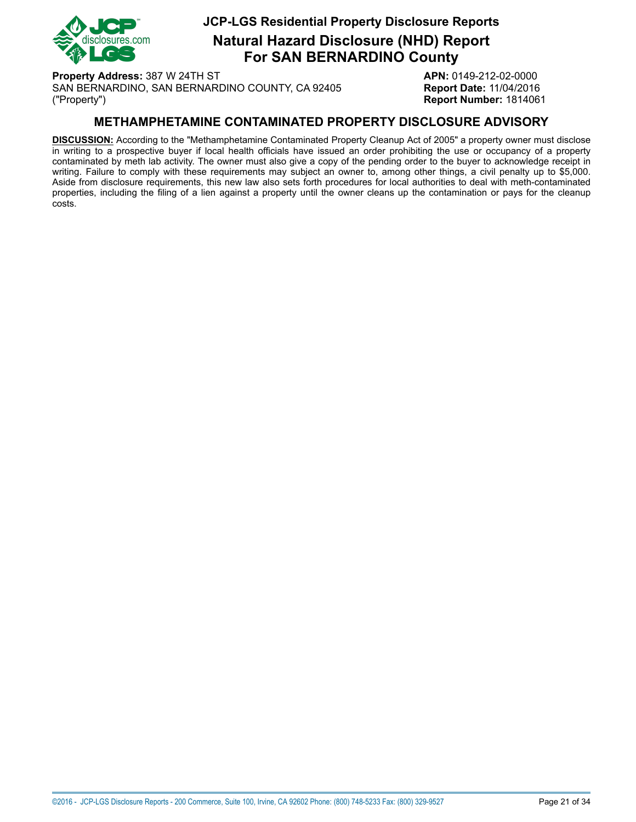

**Natural Hazard Disclosure (NHD) Report For SAN BERNARDINO County**

**Property Address:** 387 W 24TH ST **APN:** 0149-212-02-0000 SAN BERNARDINO, SAN BERNARDINO COUNTY, CA 92405 **Report Date:** 11/04/2016 ("Property") **Report Number:** 1814061

### **METHAMPHETAMINE CONTAMINATED PROPERTY DISCLOSURE ADVISORY**

<span id="page-20-0"></span>**DISCUSSION:** According to the "Methamphetamine Contaminated Property Cleanup Act of 2005" a property owner must disclose in writing to a prospective buyer if local health officials have issued an order prohibiting the use or occupancy of a property contaminated by meth lab activity. The owner must also give a copy of the pending order to the buyer to acknowledge receipt in writing. Failure to comply with these requirements may subject an owner to, among other things, a civil penalty up to \$5,000. Aside from disclosure requirements, this new law also sets forth procedures for local authorities to deal with meth-contaminated properties, including the filing of a lien against a property until the owner cleans up the contamination or pays for the cleanup costs.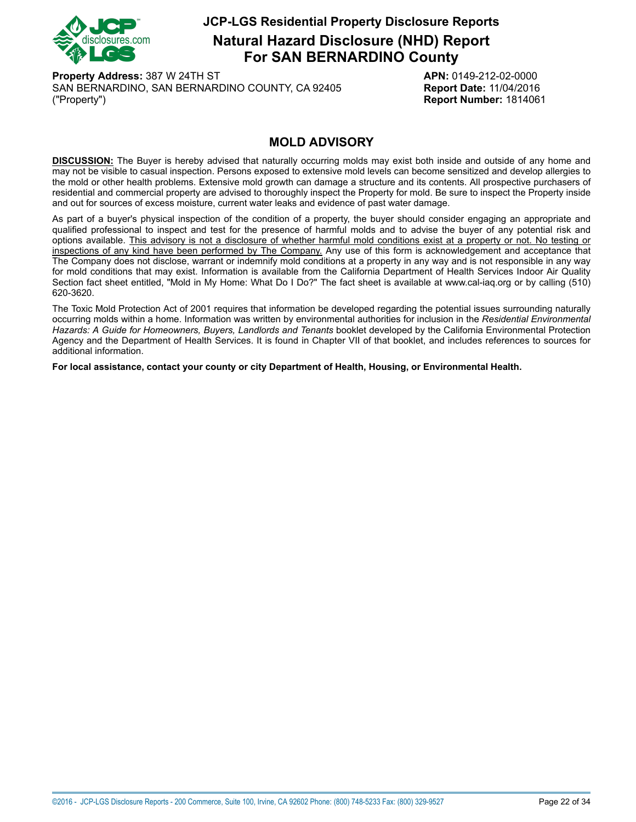

**Natural Hazard Disclosure (NHD) Report For SAN BERNARDINO County**

**Property Address:** 387 W 24TH ST **APN:** 0149-212-02-0000 SAN BERNARDINO, SAN BERNARDINO COUNTY, CA 92405 **Report Date:** 11/04/2016 ("Property") **Report Number:** 1814061

### **MOLD ADVISORY**

<span id="page-21-0"></span>**DISCUSSION:** The Buyer is hereby advised that naturally occurring molds may exist both inside and outside of any home and may not be visible to casual inspection. Persons exposed to extensive mold levels can become sensitized and develop allergies to the mold or other health problems. Extensive mold growth can damage a structure and its contents. All prospective purchasers of residential and commercial property are advised to thoroughly inspect the Property for mold. Be sure to inspect the Property inside and out for sources of excess moisture, current water leaks and evidence of past water damage.

As part of a buyer's physical inspection of the condition of a property, the buyer should consider engaging an appropriate and qualified professional to inspect and test for the presence of harmful molds and to advise the buyer of any potential risk and options available. This advisory is not a disclosure of whether harmful mold conditions exist at a property or not. No testing or inspections of any kind have been performed by The Company. Any use of this form is acknowledgement and acceptance that The Company does not disclose, warrant or indemnify mold conditions at a property in any way and is not responsible in any way for mold conditions that may exist. Information is available from the California Department of Health Services Indoor Air Quality Section fact sheet entitled, "Mold in My Home: What Do I Do?" The fact sheet is available at www.cal-iaq.org or by calling (510) 620-3620.

The Toxic Mold Protection Act of 2001 requires that information be developed regarding the potential issues surrounding naturally occurring molds within a home. Information was written by environmental authorities for inclusion in the *Residential Environmental Hazards: A Guide for Homeowners, Buyers, Landlords and Tenants* booklet developed by the California Environmental Protection Agency and the Department of Health Services. It is found in Chapter VII of that booklet, and includes references to sources for additional information.

**For local assistance, contact your county or city Department of Health, Housing, or Environmental Health.**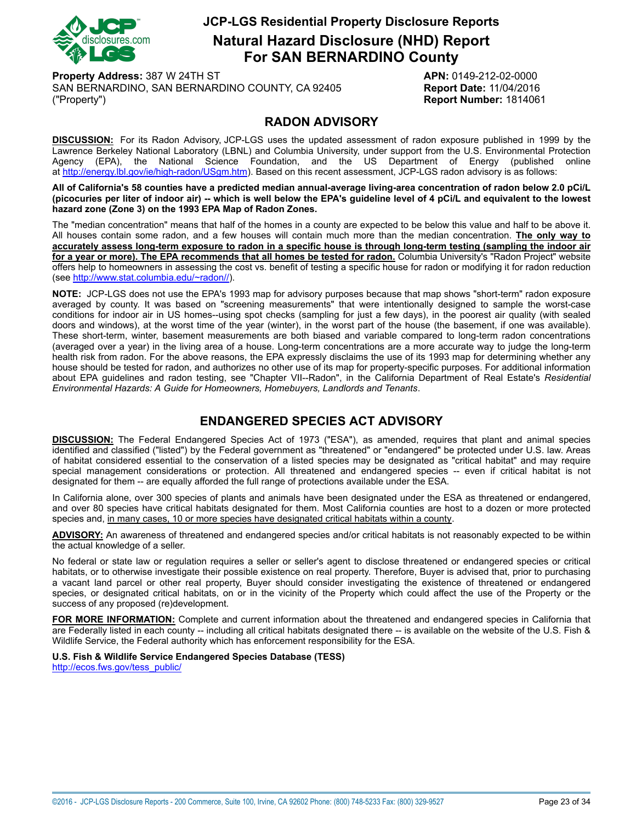

**Natural Hazard Disclosure (NHD) Report For SAN BERNARDINO County**

**Property Address:** 387 W 24TH ST **APN:** 0149-212-02-0000 SAN BERNARDINO, SAN BERNARDINO COUNTY, CA 92405 **Report Date:** 11/04/2016 ("Property") **Report Number:** 1814061

#### **RADON ADVISORY**

<span id="page-22-0"></span>**DISCUSSION:** For its Radon Advisory, JCP-LGS uses the updated assessment of radon exposure published in 1999 by the Lawrence Berkeley National Laboratory (LBNL) and Columbia University, under support from the U.S. Environmental Protection Agency (EPA), the National Science Foundation, and the US Department of Energy (published online at<http://energy.lbl.gov/ie/high-radon/USgm.htm>). Based on this recent assessment, JCP-LGS radon advisory is as follows:

All of California's 58 counties have a predicted median annual-average living-area concentration of radon below 2.0 pCi/L (picocuries per liter of indoor air) -- which is well below the EPA's guideline level of 4 pCi/L and equivalent to the lowest **hazard zone (Zone 3) on the 1993 EPA Map of Radon Zones.**

The "median concentration" means that half of the homes in a county are expected to be below this value and half to be above it. All houses contain some radon, and a few houses will contain much more than the median concentration. **The only way to** accurately assess long-term exposure to radon in a specific house is through long-term testing (sampling the indoor air for a year or more). The EPA recommends that all homes be tested for radon. Columbia University's "Radon Project" website offers help to homeowners in assessing the cost vs. benefit of testing a specific house for radon or modifying it for radon reduction (see [http://www.stat.columbia.edu/~radon//\)](http://www.stat.columbia.edu/~radon/).

**NOTE:** JCP-LGS does not use the EPA's 1993 map for advisory purposes because that map shows "short-term" radon exposure averaged by county. It was based on "screening measurements" that were intentionally designed to sample the worst-case conditions for indoor air in US homes--using spot checks (sampling for just a few days), in the poorest air quality (with sealed doors and windows), at the worst time of the year (winter), in the worst part of the house (the basement, if one was available). These short-term, winter, basement measurements are both biased and variable compared to long-term radon concentrations (averaged over a year) in the living area of a house. Long-term concentrations are a more accurate way to judge the long-term health risk from radon. For the above reasons, the EPA expressly disclaims the use of its 1993 map for determining whether any house should be tested for radon, and authorizes no other use of its map for property-specific purposes. For additional information about EPA guidelines and radon testing, see "Chapter VII--Radon", in the California Department of Real Estate's *Residential Environmental Hazards: A Guide for Homeowners, Homebuyers, Landlords and Tenants*.

## **ENDANGERED SPECIES ACT ADVISORY**

<span id="page-22-1"></span>**DISCUSSION:** The Federal Endangered Species Act of 1973 ("ESA"), as amended, requires that plant and animal species identified and classified ("listed") by the Federal government as "threatened" or "endangered" be protected under U.S. law. Areas of habitat considered essential to the conservation of a listed species may be designated as "critical habitat" and may require special management considerations or protection. All threatened and endangered species -- even if critical habitat is not designated for them -- are equally afforded the full range of protections available under the ESA.

In California alone, over 300 species of plants and animals have been designated under the ESA as threatened or endangered, and over 80 species have critical habitats designated for them. Most California counties are host to a dozen or more protected species and, in many cases, 10 or more species have designated critical habitats within a county.

**ADVISORY:** An awareness of threatened and endangered species and/or critical habitats is not reasonably expected to be within the actual knowledge of a seller.

No federal or state law or regulation requires a seller or seller's agent to disclose threatened or endangered species or critical habitats, or to otherwise investigate their possible existence on real property. Therefore, Buyer is advised that, prior to purchasing a vacant land parcel or other real property, Buyer should consider investigating the existence of threatened or endangered species, or designated critical habitats, on or in the vicinity of the Property which could affect the use of the Property or the success of any proposed (re)development.

**FOR MORE INFORMATION:** Complete and current information about the threatened and endangered species in California that are Federally listed in each county -- including all critical habitats designated there -- is available on the website of the U.S. Fish & Wildlife Service, the Federal authority which has enforcement responsibility for the ESA.

**U.S. Fish & Wildlife Service Endangered Species Database (TESS)**

[http://ecos.fws.gov/tess\\_public/](http://ecos.fws.gov/tess_public/)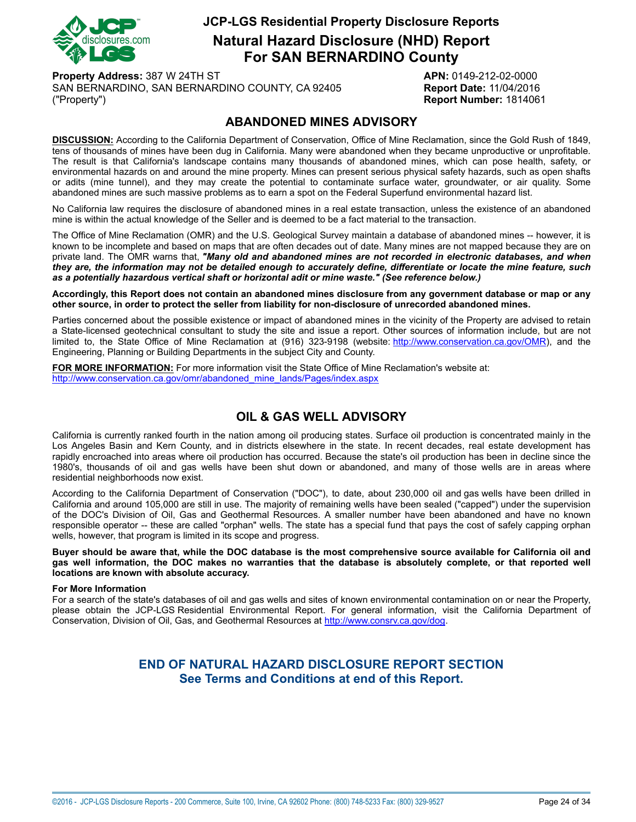

**Natural Hazard Disclosure (NHD) Report For SAN BERNARDINO County**

**Property Address:** 387 W 24TH ST **APN:** 0149-212-02-0000 SAN BERNARDINO, SAN BERNARDINO COUNTY, CA 92405 **Report Date:** 11/04/2016 ("Property") **Report Number:** 1814061

#### **ABANDONED MINES ADVISORY**

<span id="page-23-0"></span>**DISCUSSION:** According to the California Department of Conservation, Office of Mine Reclamation, since the Gold Rush of 1849, tens of thousands of mines have been dug in California. Many were abandoned when they became unproductive or unprofitable. The result is that California's landscape contains many thousands of abandoned mines, which can pose health, safety, or environmental hazards on and around the mine property. Mines can present serious physical safety hazards, such as open shafts or adits (mine tunnel), and they may create the potential to contaminate surface water, groundwater, or air quality. Some abandoned mines are such massive problems as to earn a spot on the Federal Superfund environmental hazard list.

No California law requires the disclosure of abandoned mines in a real estate transaction, unless the existence of an abandoned mine is within the actual knowledge of the Seller and is deemed to be a fact material to the transaction.

The Office of Mine Reclamation (OMR) and the U.S. Geological Survey maintain a database of abandoned mines -- however, it is known to be incomplete and based on maps that are often decades out of date. Many mines are not mapped because they are on private land. The OMR warns that, *"Many old and abandoned mines are not recorded in electronic databases, and when* they are, the information may not be detailed enough to accurately define, differentiate or locate the mine feature, such *as a potentially hazardous vertical shaft or horizontal adit or mine waste." (See reference below.)*

Accordingly, this Report does not contain an abandoned mines disclosure from any government database or map or any **other source, in order to protect the seller from liability for non-disclosure of unrecorded abandoned mines.**

Parties concerned about the possible existence or impact of abandoned mines in the vicinity of the Property are advised to retain a State-licensed geotechnical consultant to study the site and issue a report. Other sources of information include, but are not limited to, the State Office of Mine Reclamation at (916) 323-9198 (website: <http://www.conservation.ca.gov/OMR>), and the Engineering, Planning or Building Departments in the subject City and County.

**FOR MORE INFORMATION:** For more information visit the State Office of Mine Reclamation's website at: [http://www.conservation.ca.gov/omr/abandoned\\_mine\\_lands/Pages/index.aspx](http://www.conservation.ca.gov/omr/abandoned_mine_lands/Pages/index.aspx)

## **OIL & GAS WELL ADVISORY**

<span id="page-23-1"></span>California is currently ranked fourth in the nation among oil producing states. Surface oil production is concentrated mainly in the Los Angeles Basin and Kern County, and in districts elsewhere in the state. In recent decades, real estate development has rapidly encroached into areas where oil production has occurred. Because the state's oil production has been in decline since the 1980's, thousands of oil and gas wells have been shut down or abandoned, and many of those wells are in areas where residential neighborhoods now exist.

According to the California Department of Conservation ("DOC"), to date, about 230,000 oil and gas wells have been drilled in California and around 105,000 are still in use. The majority of remaining wells have been sealed ("capped") under the supervision of the DOC's Division of Oil, Gas and Geothermal Resources. A smaller number have been abandoned and have no known responsible operator -- these are called "orphan" wells. The state has a special fund that pays the cost of safely capping orphan wells, however, that program is limited in its scope and progress.

Buyer should be aware that, while the DOC database is the most comprehensive source available for California oil and gas well information, the DOC makes no warranties that the database is absolutely complete, or that reported well **locations are known with absolute accuracy.**

#### **For More Information**

For a search of the state's databases of oil and gas wells and sites of known environmental contamination on or near the Property, please obtain the JCP-LGS Residential Environmental Report. For general information, visit the California Department of Conservation, Division of Oil, Gas, and Geothermal Resources at [http://www.consrv.ca.gov/dog.](http://www.consrv.ca.gov/dog)

#### **END OF NATURAL HAZARD DISCLOSURE REPORT SECTION See Terms and Conditions at end of this Report.**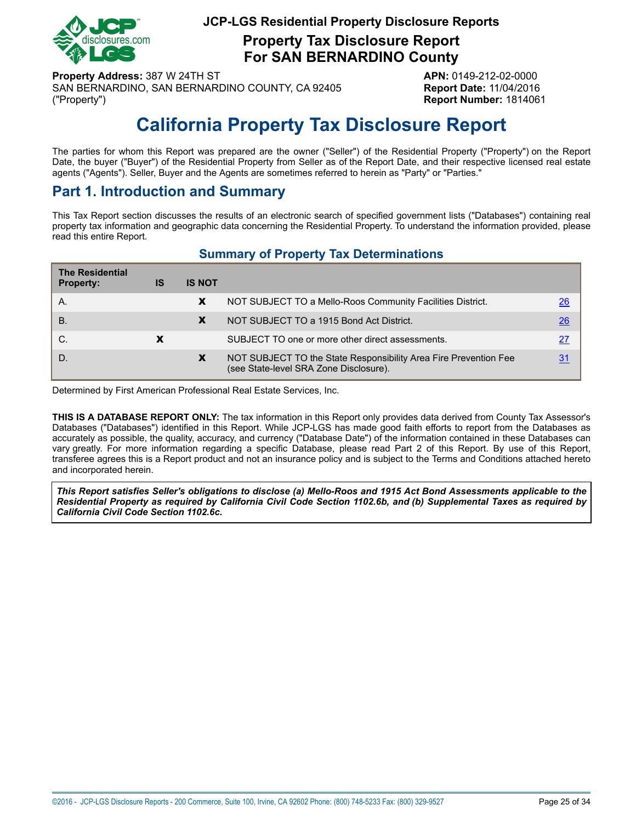

**Property Tax Disclosure Report For SAN BERNARDINO County**

**Property Address:** 387 W 24TH ST **APN:** 0149-212-02-0000 SAN BERNARDINO, SAN BERNARDINO COUNTY, CA 92405 **Report Date:** 11/04/2016 ("Property") **Report Number:** 1814061

# **California Property Tax Disclosure Report**

<span id="page-24-0"></span>The parties for whom this Report was prepared are the owner ("Seller") of the Residential Property ("Property") on the Report Date, the buyer ("Buyer") of the Residential Property from Seller as of the Report Date, and their respective licensed real estate agents ("Agents"). Seller, Buyer and the Agents are sometimes referred to herein as "Party" or "Parties."

## **Part 1. Introduction and Summary**

This Tax Report section discusses the results of an electronic search of specified government lists ("Databases") containing real property tax information and geographic data concerning the Residential Property. To understand the information provided, please read this entire Report.

### **Summary of Property Tax Determinations**

| <b>The Residential</b><br><b>Property:</b> | IS | <b>IS NOT</b> |                                                                                                            |                 |
|--------------------------------------------|----|---------------|------------------------------------------------------------------------------------------------------------|-----------------|
| Α.                                         |    | X             | NOT SUBJECT TO a Mello-Roos Community Facilities District.                                                 | 26              |
| <b>B.</b>                                  |    | X             | NOT SUBJECT TO a 1915 Bond Act District.                                                                   | $\overline{26}$ |
| C.                                         |    |               | SUBJECT TO one or more other direct assessments.                                                           | 27              |
| D.                                         |    | X             | NOT SUBJECT TO the State Responsibility Area Fire Prevention Fee<br>(see State-level SRA Zone Disclosure). | 31              |

Determined by First American Professional Real Estate Services, Inc.

**THIS IS A DATABASE REPORT ONLY:** The tax information in this Report only provides data derived from County Tax Assessor's Databases ("Databases") identified in this Report. While JCP-LGS has made good faith efforts to report from the Databases as accurately as possible, the quality, accuracy, and currency ("Database Date") of the information contained in these Databases can vary greatly. For more information regarding a specific Database, please read Part 2 of this Report. By use of this Report, transferee agrees this is a Report product and not an insurance policy and is subject to the Terms and Conditions attached hereto and incorporated herein.

This Report satisfies Seller's obligations to disclose (a) Mello-Roos and 1915 Act Bond Assessments applicable to the Residential Property as required by California Civil Code Section 1102.6b, and (b) Supplemental Taxes as required by *California Civil Code Section 1102.6c.*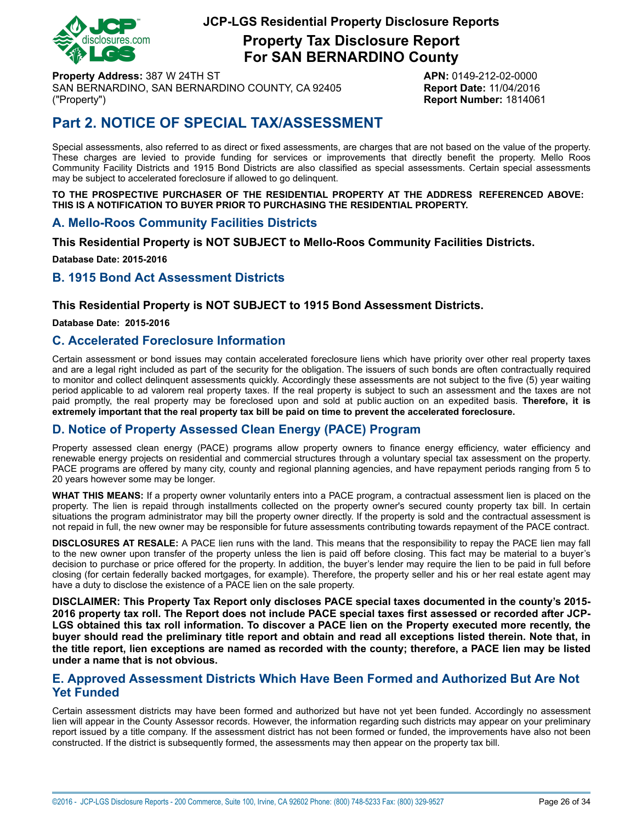

**Property Tax Disclosure Report For SAN BERNARDINO County**

**Property Address:** 387 W 24TH ST **APN:** 0149-212-02-0000 SAN BERNARDINO, SAN BERNARDINO COUNTY, CA 92405 **Report Date:** 11/04/2016 ("Property") **Report Number:** 1814061

# **Part 2. NOTICE OF SPECIAL TAX/ASSESSMENT**

Special assessments, also referred to as direct or fixed assessments, are charges that are not based on the value of the property. These charges are levied to provide funding for services or improvements that directly benefit the property. Mello Roos Community Facility Districts and 1915 Bond Districts are also classified as special assessments. Certain special assessments may be subject to accelerated foreclosure if allowed to go delinquent.

**TO THE PROSPECTIVE PURCHASER OF THE RESIDENTIAL PROPERTY AT THE ADDRESS REFERENCED ABOVE: THIS IS A NOTIFICATION TO BUYER PRIOR TO PURCHASING THE RESIDENTIAL PROPERTY.**

#### <span id="page-25-0"></span>**A. Mello-Roos Community Facilities Districts**

**This Residential Property is NOT SUBJECT to Mello-Roos Community Facilities Districts.**

**Database Date: 2015-2016**

#### <span id="page-25-1"></span>**B. 1915 Bond Act Assessment Districts**

#### **This Residential Property is NOT SUBJECT to 1915 Bond Assessment Districts.**

**Database Date: 2015-2016**

#### **C. Accelerated Foreclosure Information**

Certain assessment or bond issues may contain accelerated foreclosure liens which have priority over other real property taxes and are a legal right included as part of the security for the obligation. The issuers of such bonds are often contractually required to monitor and collect delinquent assessments quickly. Accordingly these assessments are not subject to the five (5) year waiting period applicable to ad valorem real property taxes. If the real property is subject to such an assessment and the taxes are not paid promptly, the real property may be foreclosed upon and sold at public auction on an expedited basis. **Therefore, it is extremely important that the real property tax bill be paid on time to prevent the accelerated foreclosure.**

#### **D. Notice of Property Assessed Clean Energy (PACE) Program**

Property assessed clean energy (PACE) programs allow property owners to finance energy efficiency, water efficiency and renewable energy projects on residential and commercial structures through a voluntary special tax assessment on the property. PACE programs are offered by many city, county and regional planning agencies, and have repayment periods ranging from 5 to 20 years however some may be longer.

**WHAT THIS MEANS:** If a property owner voluntarily enters into a PACE program, a contractual assessment lien is placed on the property. The lien is repaid through installments collected on the property owner's secured county property tax bill. In certain situations the program administrator may bill the property owner directly. If the property is sold and the contractual assessment is not repaid in full, the new owner may be responsible for future assessments contributing towards repayment of the PACE contract.

**DISCLOSURES AT RESALE:** A PACE lien runs with the land. This means that the responsibility to repay the PACE lien may fall to the new owner upon transfer of the property unless the lien is paid off before closing. This fact may be material to a buyer's decision to purchase or price offered for the property. In addition, the buyer's lender may require the lien to be paid in full before closing (for certain federally backed mortgages, for example). Therefore, the property seller and his or her real estate agent may have a duty to disclose the existence of a PACE lien on the sale property.

**DISCLAIMER: This Property Tax Report only discloses PACE special taxes documented in the county's 2015-** 2016 property tax roll. The Report does not include PACE special taxes first assessed or recorded after JCP-LGS obtained this tax roll information. To discover a PACE lien on the Property executed more recently, the buyer should read the preliminary title report and obtain and read all exceptions listed therein. Note that, in the title report, lien exceptions are named as recorded with the county; therefore, a PACE lien may be listed **under a name that is not obvious.**

#### **E. Approved Assessment Districts Which Have Been Formed and Authorized But Are Not Yet Funded**

Certain assessment districts may have been formed and authorized but have not yet been funded. Accordingly no assessment lien will appear in the County Assessor records. However, the information regarding such districts may appear on your preliminary report issued by a title company. If the assessment district has not been formed or funded, the improvements have also not been constructed. If the district is subsequently formed, the assessments may then appear on the property tax bill.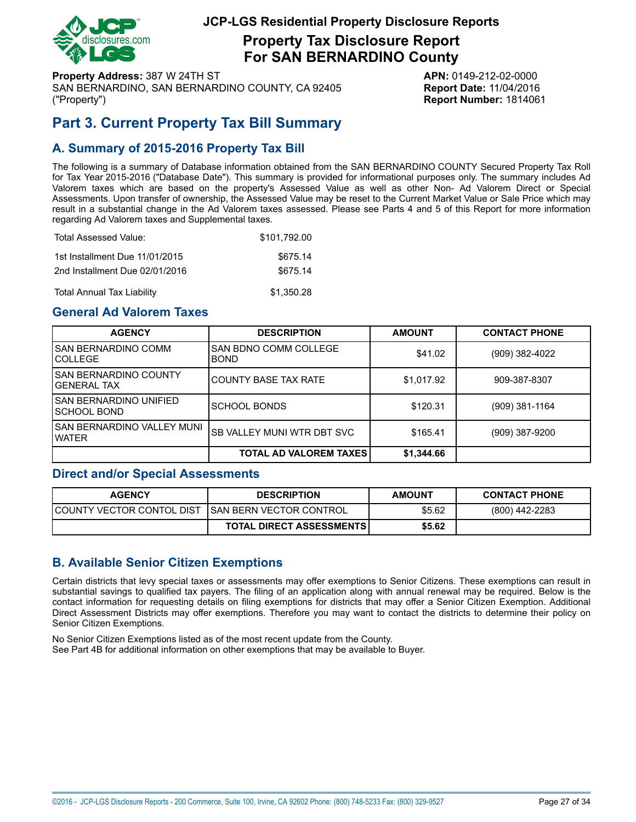

**Property Tax Disclosure Report For SAN BERNARDINO County**

**Property Address:** 387 W 24TH ST **APN:** 0149-212-02-0000 SAN BERNARDINO, SAN BERNARDINO COUNTY, CA 92405 **Report Date:** 11/04/2016 ("Property") **Report Number:** 1814061

# <span id="page-26-0"></span>**Part 3. Current Property Tax Bill Summary**

## **A. Summary of 2015-2016 Property Tax Bill**

The following is a summary of Database information obtained from the SAN BERNARDINO COUNTY Secured Property Tax Roll for Tax Year 2015-2016 ("Database Date"). This summary is provided for informational purposes only. The summary includes Ad Valorem taxes which are based on the property's Assessed Value as well as other Non- Ad Valorem Direct or Special Assessments. Upon transfer of ownership, the Assessed Value may be reset to the Current Market Value or Sale Price which may result in a substantial change in the Ad Valorem taxes assessed. Please see Parts 4 and 5 of this Report for more information regarding Ad Valorem taxes and Supplemental taxes.

| Total Assessed Value:          | \$101.792.00 |
|--------------------------------|--------------|
| 1st Installment Due 11/01/2015 | \$675.14     |
| 2nd Installment Due 02/01/2016 | \$675.14     |
| Total Annual Tax Liability     | \$1,350.28   |

### **General Ad Valorem Taxes**

| <b>AGENCY</b>                           | <b>DESCRIPTION</b>                   | <b>AMOUNT</b> | <b>CONTACT PHONE</b> |
|-----------------------------------------|--------------------------------------|---------------|----------------------|
| I SAN BERNARDINO COMM<br>ICOLLEGE       | SAN BDNO COMM COLLEGE<br><b>BOND</b> | \$41.02       | (909) 382-4022       |
| ISAN BERNARDINO COUNTY<br>lGENERAL TAX  | <b>COUNTY BASE TAX RATE</b>          | \$1,017.92    | 909-387-8307         |
| ISAN BERNARDINO UNIFIED<br>ISCHOOL BOND | <b>SCHOOL BONDS</b>                  | \$120.31      | $(909)$ 381-1164     |
| ISAN BERNARDINO VALLEY MUNI<br>I WATER  | SB VALLEY MUNI WTR DBT SVC           | \$165.41      | (909) 387-9200       |
|                                         | <b>TOTAL AD VALOREM TAXES</b>        | \$1,344.66    |                      |

#### **Direct and/or Special Assessments**

| <b>AGENCY</b>                                       | <b>DESCRIPTION</b>              | <b>AMOUNT</b> | <b>CONTACT PHONE</b> |
|-----------------------------------------------------|---------------------------------|---------------|----------------------|
| ICOUNTY VECTOR CONTOL DIST_ISAN BERN VECTOR CONTROL |                                 | \$5.62        | (800) 442-2283       |
|                                                     | <b>TOTAL DIRECT ASSESSMENTS</b> | \$5.62        |                      |

### **B. Available Senior Citizen Exemptions**

Certain districts that levy special taxes or assessments may offer exemptions to Senior Citizens. These exemptions can result in substantial savings to qualified tax payers. The filing of an application along with annual renewal may be required. Below is the contact information for requesting details on filing exemptions for districts that may offer a Senior Citizen Exemption. Additional Direct Assessment Districts may offer exemptions. Therefore you may want to contact the districts to determine their policy on Senior Citizen Exemptions.

No Senior Citizen Exemptions listed as of the most recent update from the County. See Part 4B for additional information on other exemptions that may be available to Buyer.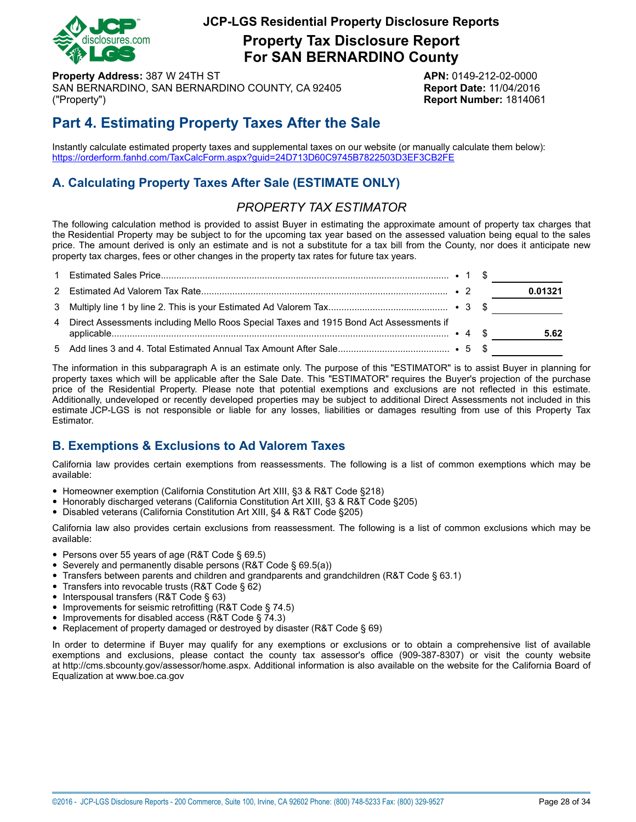

**Property Tax Disclosure Report For SAN BERNARDINO County**

**Property Address:** 387 W 24TH ST **APN:** 0149-212-02-0000 SAN BERNARDINO, SAN BERNARDINO COUNTY, CA 92405 **Report Date:** 11/04/2016 ("Property") **Report Number:** 1814061

# **Part 4. Estimating Property Taxes After the Sale**

Instantly calculate estimated property taxes and supplemental taxes on our website (or manually calculate them below): <https://orderform.fanhd.com/TaxCalcForm.aspx?guid=24D713D60C9745B7822503D3EF3CB2FE>

## **A. Calculating Property Taxes After Sale (ESTIMATE ONLY)**

## *PROPERTY TAX ESTIMATOR*

The following calculation method is provided to assist Buyer in estimating the approximate amount of property tax charges that the Residential Property may be subject to for the upcoming tax year based on the assessed valuation being equal to the sales price. The amount derived is only an estimate and is not a substitute for a tax bill from the County, nor does it anticipate new property tax charges, fees or other changes in the property tax rates for future tax years.

|                                                                                          |  | 0.01321 |
|------------------------------------------------------------------------------------------|--|---------|
|                                                                                          |  |         |
| 4 Direct Assessments including Mello Roos Special Taxes and 1915 Bond Act Assessments if |  | 5.62    |
|                                                                                          |  |         |

The information in this subparagraph A is an estimate only. The purpose of this "ESTIMATOR" is to assist Buyer in planning for property taxes which will be applicable after the Sale Date. This "ESTIMATOR" requires the Buyer's projection of the purchase price of the Residential Property. Please note that potential exemptions and exclusions are not reflected in this estimate. Additionally, undeveloped or recently developed properties may be subject to additional Direct Assessments not included in this estimate JCP-LGS is not responsible or liable for any losses, liabilities or damages resulting from use of this Property Tax Estimator.

## **B. Exemptions & Exclusions to Ad Valorem Taxes**

California law provides certain exemptions from reassessments. The following is a list of common exemptions which may be available:

- Homeowner exemption (California Constitution Art XIII, §3 & R&T Code §218)
- Honorably discharged veterans (California Constitution Art XIII, §3 & R&T Code §205)
- Disabled veterans (California Constitution Art XIII, §4 & R&T Code §205)

California law also provides certain exclusions from reassessment. The following is a list of common exclusions which may be available:

- Persons over 55 years of age (R&T Code § 69.5)
- Severely and permanently disable persons (R&T Code § 69.5(a))
- Transfers between parents and children and grandparents and grandchildren (R&T Code § 63.1)
- Transfers into revocable trusts (R&T Code § 62)
- Interspousal transfers (R&T Code § 63)
- Improvements for seismic retrofitting (R&T Code § 74.5)
- Improvements for disabled access (R&T Code § 74.3)
- Replacement of property damaged or destroyed by disaster (R&T Code § 69)

In order to determine if Buyer may qualify for any exemptions or exclusions or to obtain a comprehensive list of available exemptions and exclusions, please contact the county tax assessor's office (909-387-8307) or visit the county website at http://cms.sbcounty.gov/assessor/home.aspx. Additional information is also available on the website for the California Board of Equalization at www.boe.ca.gov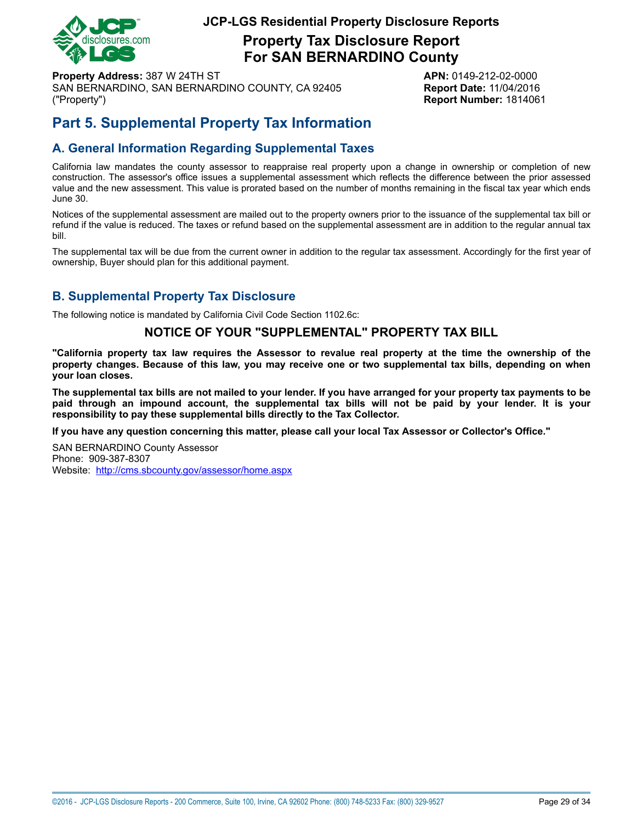

**Property Tax Disclosure Report For SAN BERNARDINO County**

**Property Address:** 387 W 24TH ST **APN:** 0149-212-02-0000 SAN BERNARDINO, SAN BERNARDINO COUNTY, CA 92405 **Report Date:** 11/04/2016 ("Property") **Report Number:** 1814061

# **Part 5. Supplemental Property Tax Information**

## **A. General Information Regarding Supplemental Taxes**

California law mandates the county assessor to reappraise real property upon a change in ownership or completion of new construction. The assessor's office issues a supplemental assessment which reflects the difference between the prior assessed value and the new assessment. This value is prorated based on the number of months remaining in the fiscal tax year which ends June 30.

Notices of the supplemental assessment are mailed out to the property owners prior to the issuance of the supplemental tax bill or refund if the value is reduced. The taxes or refund based on the supplemental assessment are in addition to the regular annual tax bill.

The supplemental tax will be due from the current owner in addition to the regular tax assessment. Accordingly for the first year of ownership, Buyer should plan for this additional payment.

## **B. Supplemental Property Tax Disclosure**

The following notice is mandated by California Civil Code Section 1102.6c:

#### **NOTICE OF YOUR "SUPPLEMENTAL" PROPERTY TAX BILL**

"California property tax law requires the Assessor to revalue real property at the time the ownership of the property changes. Because of this law, you may receive one or two supplemental tax bills, depending on when **your loan closes.**

The supplemental tax bills are not mailed to your lender. If you have arranged for your property tax payments to be paid through an impound account, the supplemental tax bills will not be paid by your lender. It is your **responsibility to pay these supplemental bills directly to the Tax Collector.**

**If you have any question concerning this matter, please call your local Tax Assessor or Collector's Office."**

SAN BERNARDINO County Assessor Phone: 909-387-8307 Website: <http://cms.sbcounty.gov/assessor/home.aspx>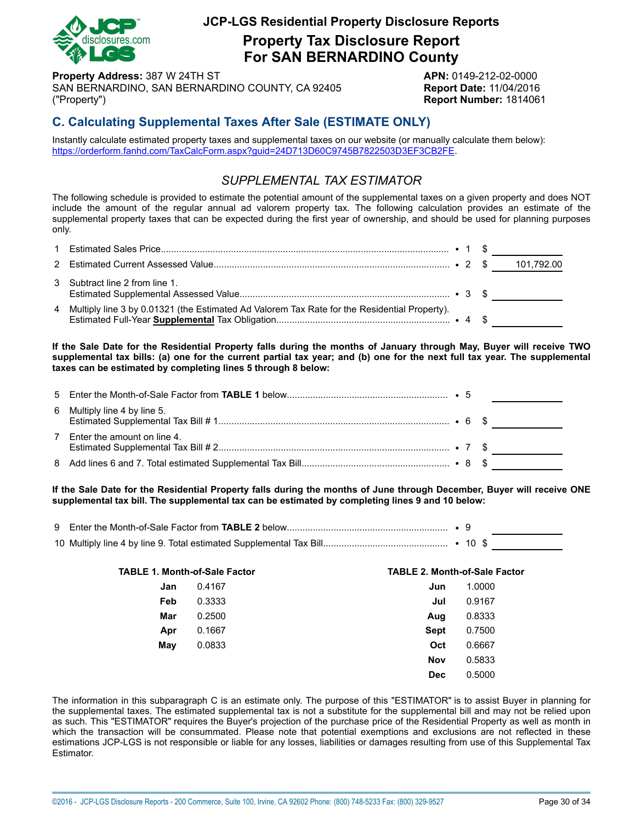

**Property Tax Disclosure Report For SAN BERNARDINO County**

**Property Address:** 387 W 24TH ST **APN:** 0149-212-02-0000 SAN BERNARDINO, SAN BERNARDINO COUNTY, CA 92405 **Report Date:** 11/04/2016 ("Property") **Report Number:** 1814061

## **C. Calculating Supplemental Taxes After Sale (ESTIMATE ONLY)**

Instantly calculate estimated property taxes and supplemental taxes on our website (or manually calculate them below): [https://orderform.fanhd.com/TaxCalcForm.aspx?guid=24D713D60C9745B7822503D3EF3CB2FE.](https://orderform.fanhd.com/TaxCalcForm.aspx?guid=24D713D60C9745B7822503D3EF3CB2FE)

## *SUPPLEMENTAL TAX ESTIMATOR*

The following schedule is provided to estimate the potential amount of the supplemental taxes on a given property and does NOT include the amount of the regular annual ad valorem property tax. The following calculation provides an estimate of the supplemental property taxes that can be expected during the first year of ownership, and should be used for planning purposes only.

| 3 Subtract line 2 from line 1.                                                                 |  |  |
|------------------------------------------------------------------------------------------------|--|--|
| 4 Multiply line 3 by 0.01321 (the Estimated Ad Valorem Tax Rate for the Residential Property). |  |  |

If the Sale Date for the Residential Property falls during the months of January through May, Buyer will receive TWO supplemental tax bills: (a) one for the current partial tax year; and (b) one for the next full tax year. The supplemental **taxes can be estimated by completing lines 5 through 8 below:**

|                               |  | <u>production and the contract of the contract</u> |
|-------------------------------|--|----------------------------------------------------|
| 6 Multiply line 4 by line 5.  |  |                                                    |
| 7 Enter the amount on line 4. |  |                                                    |
|                               |  |                                                    |

If the Sale Date for the Residential Property falls during the months of June through December, Buyer will receive ONE **supplemental tax bill. The supplemental tax can be estimated by completing lines 9 and 10 below:**

| <b>TABLE 1. Month-of-Sale Factor</b> |        | <b>TABLE 2. Month-of-Sale Factor</b> |        |
|--------------------------------------|--------|--------------------------------------|--------|
| Jan                                  | 0.4167 | Jun                                  | 1.0000 |
| Feb                                  | 0.3333 | Jul                                  | 0.9167 |
| Mar                                  | 0.2500 | Aug                                  | 0.8333 |
| Apr                                  | 0.1667 | Sept                                 | 0.7500 |
| May                                  | 0.0833 | Oct                                  | 0.6667 |
|                                      |        | <b>Nov</b>                           | 0.5833 |
|                                      |        | <b>Dec</b>                           | 0.5000 |

The information in this subparagraph C is an estimate only. The purpose of this "ESTIMATOR" is to assist Buyer in planning for the supplemental taxes. The estimated supplemental tax is not a substitute for the supplemental bill and may not be relied upon as such. This "ESTIMATOR" requires the Buyer's projection of the purchase price of the Residential Property as well as month in which the transaction will be consummated. Please note that potential exemptions and exclusions are not reflected in these estimations JCP-LGS is not responsible or liable for any losses, liabilities or damages resulting from use of this Supplemental Tax Estimator.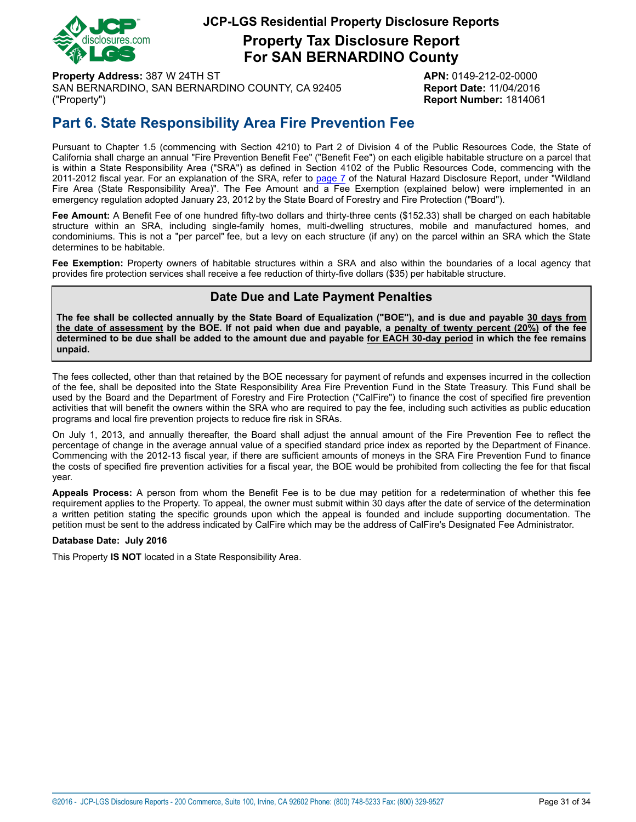

**Property Tax Disclosure Report For SAN BERNARDINO County**

**Property Address:** 387 W 24TH ST **APN:** 0149-212-02-0000 SAN BERNARDINO, SAN BERNARDINO COUNTY, CA 92405 **Report Date:** 11/04/2016 ("Property") **Report Number:** 1814061

# <span id="page-30-0"></span>**Part 6. State Responsibility Area Fire Prevention Fee**

Pursuant to Chapter 1.5 (commencing with Section 4210) to Part 2 of Division 4 of the Public Resources Code, the State of California shall charge an annual "Fire Prevention Benefit Fee" ("Benefit Fee") on each eligible habitable structure on a parcel that is within a State Responsibility Area ("SRA") as defined in Section 4102 of the Public Resources Code, commencing with the 2011-2012 fiscal year. For an explanation of the SRA, refer to [page](#page-6-1) 7 of the Natural Hazard Disclosure Report, under "Wildland Fire Area (State Responsibility Area)". The Fee Amount and a Fee Exemption (explained below) were implemented in an emergency regulation adopted January 23, 2012 by the State Board of Forestry and Fire Protection ("Board").

**Fee Amount:** A Benefit Fee of one hundred fifty-two dollars and thirty-three cents (\$152.33) shall be charged on each habitable structure within an SRA, including single-family homes, multi-dwelling structures, mobile and manufactured homes, and condominiums. This is not a "per parcel" fee, but a levy on each structure (if any) on the parcel within an SRA which the State determines to be habitable.

**Fee Exemption:** Property owners of habitable structures within a SRA and also within the boundaries of a local agency that provides fire protection services shall receive a fee reduction of thirty-five dollars (\$35) per habitable structure.

## **Date Due and Late Payment Penalties**

The fee shall be collected annually by the State Board of Equalization ("BOE"), and is due and payable 30 days from the date of assessment by the BOE. If not paid when due and payable, a penalty of twenty percent (20%) of the fee determined to be due shall be added to the amount due and payable for EACH 30-day period in which the fee remains **unpaid.**

The fees collected, other than that retained by the BOE necessary for payment of refunds and expenses incurred in the collection of the fee, shall be deposited into the State Responsibility Area Fire Prevention Fund in the State Treasury. This Fund shall be used by the Board and the Department of Forestry and Fire Protection ("CalFire") to finance the cost of specified fire prevention activities that will benefit the owners within the SRA who are required to pay the fee, including such activities as public education programs and local fire prevention projects to reduce fire risk in SRAs.

On July 1, 2013, and annually thereafter, the Board shall adjust the annual amount of the Fire Prevention Fee to reflect the percentage of change in the average annual value of a specified standard price index as reported by the Department of Finance. Commencing with the 2012-13 fiscal year, if there are sufficient amounts of moneys in the SRA Fire Prevention Fund to finance the costs of specified fire prevention activities for a fiscal year, the BOE would be prohibited from collecting the fee for that fiscal year.

**Appeals Process:** A person from whom the Benefit Fee is to be due may petition for a redetermination of whether this fee requirement applies to the Property. To appeal, the owner must submit within 30 days after the date of service of the determination a written petition stating the specific grounds upon which the appeal is founded and include supporting documentation. The petition must be sent to the address indicated by CalFire which may be the address of CalFire's Designated Fee Administrator.

#### **Database Date: July 2016**

This Property **IS NOT** located in a State Responsibility Area.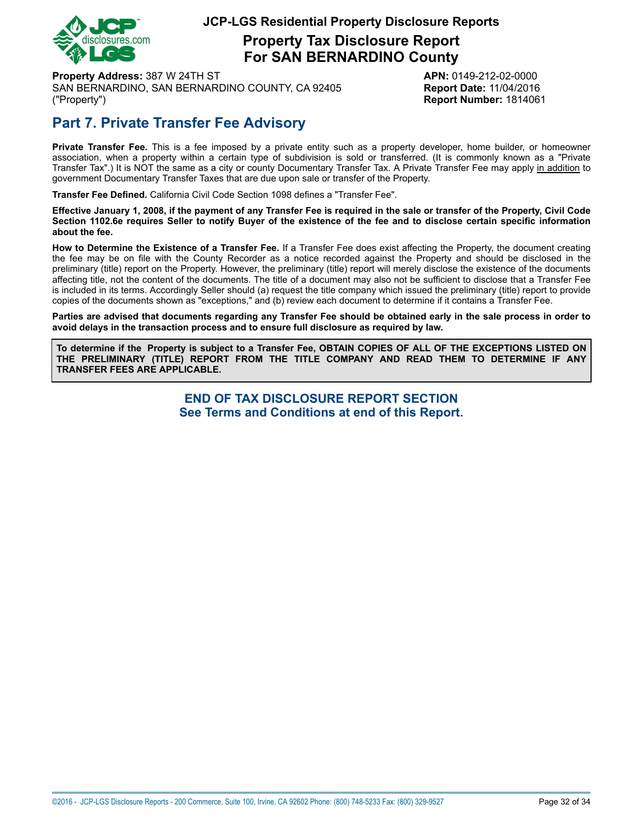

## **Property Tax Disclosure Report For SAN BERNARDINO County**

**Property Address:** 387 W 24TH ST **APN:** 0149-212-02-0000 SAN BERNARDINO, SAN BERNARDINO COUNTY, CA 92405 **Report Date:** 11/04/2016 ("Property") **Report Number:** 1814061

# **Part 7. Private Transfer Fee Advisory**

**Private Transfer Fee.** This is a fee imposed by a private entity such as a property developer, home builder, or homeowner association, when a property within a certain type of subdivision is sold or transferred. (It is commonly known as a "Private Transfer Tax".) It is NOT the same as a city or county Documentary Transfer Tax. A Private Transfer Fee may apply in addition to government Documentary Transfer Taxes that are due upon sale or transfer of the Property.

**Transfer Fee Defined.** California Civil Code Section 1098 defines a "Transfer Fee".

Effective January 1, 2008, if the payment of any Transfer Fee is required in the sale or transfer of the Property, Civil Code Section 1102.6e requires Seller to notify Buyer of the existence of the fee and to disclose certain specific information **about the fee.**

**How to Determine the Existence of a Transfer Fee.** If a Transfer Fee does exist affecting the Property, the document creating the fee may be on file with the County Recorder as a notice recorded against the Property and should be disclosed in the preliminary (title) report on the Property. However, the preliminary (title) report will merely disclose the existence of the documents affecting title, not the content of the documents. The title of a document may also not be sufficient to disclose that a Transfer Fee is included in its terms. Accordingly Seller should (a) request the title company which issued the preliminary (title) report to provide copies of the documents shown as "exceptions," and (b) review each document to determine if it contains a Transfer Fee.

Parties are advised that documents regarding any Transfer Fee should be obtained early in the sale process in order to **avoid delays in the transaction process and to ensure full disclosure as required by law.**

To determine if the Property is subject to a Transfer Fee, OBTAIN COPIES OF ALL OF THE EXCEPTIONS LISTED ON **THE PRELIMINARY (TITLE) REPORT FROM THE TITLE COMPANY AND READ THEM TO DETERMINE IF ANY TRANSFER FEES ARE APPLICABLE.**

> **END OF TAX DISCLOSURE REPORT SECTION See Terms and Conditions at end of this Report.**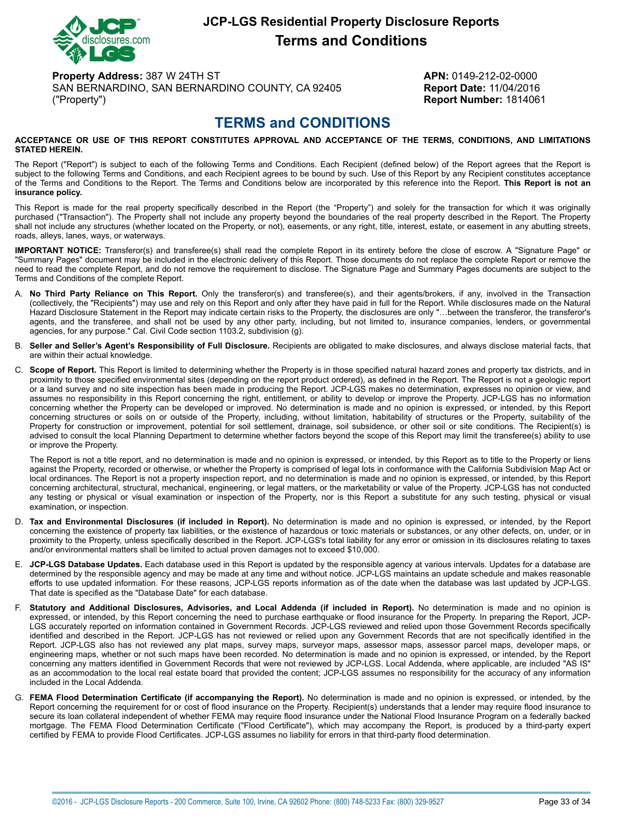

# **JCP-LGS Residential Property Disclosure Reports Terms and Conditions**

**Property Address:** 387 W 24TH ST **APN:** 0149-212-02-0000 SAN BERNARDINO, SAN BERNARDINO COUNTY, CA 92405 **Report Date:** 11/04/2016 ("Property") **Report Number:** 1814061

# **TERMS and CONDITIONS**

#### <span id="page-32-0"></span>**ACCEPTANCE OR USE OF THIS REPORT CONSTITUTES APPROVAL AND ACCEPTANCE OF THE TERMS, CONDITIONS, AND LIMITATIONS STATED HEREIN.**

The Report ("Report") is subject to each of the following Terms and Conditions. Each Recipient (defined below) of the Report agrees that the Report is subject to the following Terms and Conditions, and each Recipient agrees to be bound by such. Use of this Report by any Recipient constitutes acceptance of the Terms and Conditions to the Report. The Terms and Conditions below are incorporated by this reference into the Report. **This Report is not an insurance policy.**

This Report is made for the real property specifically described in the Report (the "Property") and solely for the transaction for which it was originally purchased ("Transaction"). The Property shall not include any property beyond the boundaries of the real property described in the Report. The Property shall not include any structures (whether located on the Property, or not), easements, or any right, title, interest, estate, or easement in any abutting streets, roads, alleys, lanes, ways, or waterways.

**IMPORTANT NOTICE:** Transferor(s) and transferee(s) shall read the complete Report in its entirety before the close of escrow. A "Signature Page" or "Summary Pages" document may be included in the electronic delivery of this Report. Those documents do not replace the complete Report or remove the need to read the complete Report, and do not remove the requirement to disclose. The Signature Page and Summary Pages documents are subject to the Terms and Conditions of the complete Report.

- A. **No Third Party Reliance on This Report.** Only the transferor(s) and transferee(s), and their agents/brokers, if any, involved in the Transaction (collectively, the "Recipients") may use and rely on this Report and only after they have paid in full for the Report. While disclosures made on the Natural Hazard Disclosure Statement in the Report may indicate certain risks to the Property, the disclosures are only "…between the transferor, the transferor's agents, and the transferee, and shall not be used by any other party, including, but not limited to, insurance companies, lenders, or governmental agencies, for any purpose." Cal. Civil Code section 1103.2, subdivision (g).
- B. **Seller and Seller's Agent's Responsibility of Full Disclosure.** Recipients are obligated to make disclosures, and always disclose material facts, that are within their actual knowledge.
- C. **Scope of Report.** This Report is limited to determining whether the Property is in those specified natural hazard zones and property tax districts, and in proximity to those specified environmental sites (depending on the report product ordered), as defined in the Report. The Report is not a geologic report or a land survey and no site inspection has been made in producing the Report. JCP-LGS makes no determination, expresses no opinion or view, and assumes no responsibility in this Report concerning the right, entitlement, or ability to develop or improve the Property. JCP-LGS has no information concerning whether the Property can be developed or improved. No determination is made and no opinion is expressed, or intended, by this Report concerning structures or soils on or outside of the Property, including, without limitation, habitability of structures or the Property, suitability of the Property for construction or improvement, potential for soil settlement, drainage, soil subsidence, or other soil or site conditions. The Recipient(s) is advised to consult the local Planning Department to determine whether factors beyond the scope of this Report may limit the transferee(s) ability to use or improve the Property.

The Report is not a title report, and no determination is made and no opinion is expressed, or intended, by this Report as to title to the Property or liens against the Property, recorded or otherwise, or whether the Property is comprised of legal lots in conformance with the California Subdivision Map Act or local ordinances. The Report is not a property inspection report, and no determination is made and no opinion is expressed, or intended, by this Report concerning architectural, structural, mechanical, engineering, or legal matters, or the marketability or value of the Property. JCP-LGS has not conducted any testing or physical or visual examination or inspection of the Property, nor is this Report a substitute for any such testing, physical or visual examination, or inspection.

- D. **Tax and Environmental Disclosures (if included in Report).** No determination is made and no opinion is expressed, or intended, by the Report concerning the existence of property tax liabilities, or the existence of hazardous or toxic materials or substances, or any other defects, on, under, or in proximity to the Property, unless specifically described in the Report. JCP-LGS's total liability for any error or omission in its disclosures relating to taxes and/or environmental matters shall be limited to actual proven damages not to exceed \$10,000.
- E. **JCP-LGS Database Updates.** Each database used in this Report is updated by the responsible agency at various intervals. Updates for a database are determined by the responsible agency and may be made at any time and without notice. JCP-LGS maintains an update schedule and makes reasonable efforts to use updated information. For these reasons, JCP-LGS reports information as of the date when the database was last updated by JCP-LGS. That date is specified as the "Database Date" for each database.
- F. **Statutory and Additional Disclosures, Advisories, and Local Addenda (if included in Report).** No determination is made and no opinion is expressed, or intended, by this Report concerning the need to purchase earthquake or flood insurance for the Property. In preparing the Report, JCP-LGS accurately reported on information contained in Government Records. JCP-LGS reviewed and relied upon those Government Records specifically identified and described in the Report. JCP-LGS has not reviewed or relied upon any Government Records that are not specifically identified in the Report. JCP-LGS also has not reviewed any plat maps, survey maps, surveyor maps, assessor maps, assessor parcel maps, developer maps, or engineering maps, whether or not such maps have been recorded. No determination is made and no opinion is expressed, or intended, by the Report concerning any matters identified in Government Records that were not reviewed by JCP-LGS. Local Addenda, where applicable, are included "AS IS" as an accommodation to the local real estate board that provided the content; JCP-LGS assumes no responsibility for the accuracy of any information included in the Local Addenda.
- G. **FEMA Flood Determination Certificate (if accompanying the Report).** No determination is made and no opinion is expressed, or intended, by the Report concerning the requirement for or cost of flood insurance on the Property. Recipient(s) understands that a lender may require flood insurance to secure its loan collateral independent of whether FEMA may require flood insurance under the National Flood Insurance Program on a federally backed mortgage. The FEMA Flood Determination Certificate ("Flood Certificate"), which may accompany the Report, is produced by a third-party expert certified by FEMA to provide Flood Certificates. JCP-LGS assumes no liability for errors in that third-party flood determination.